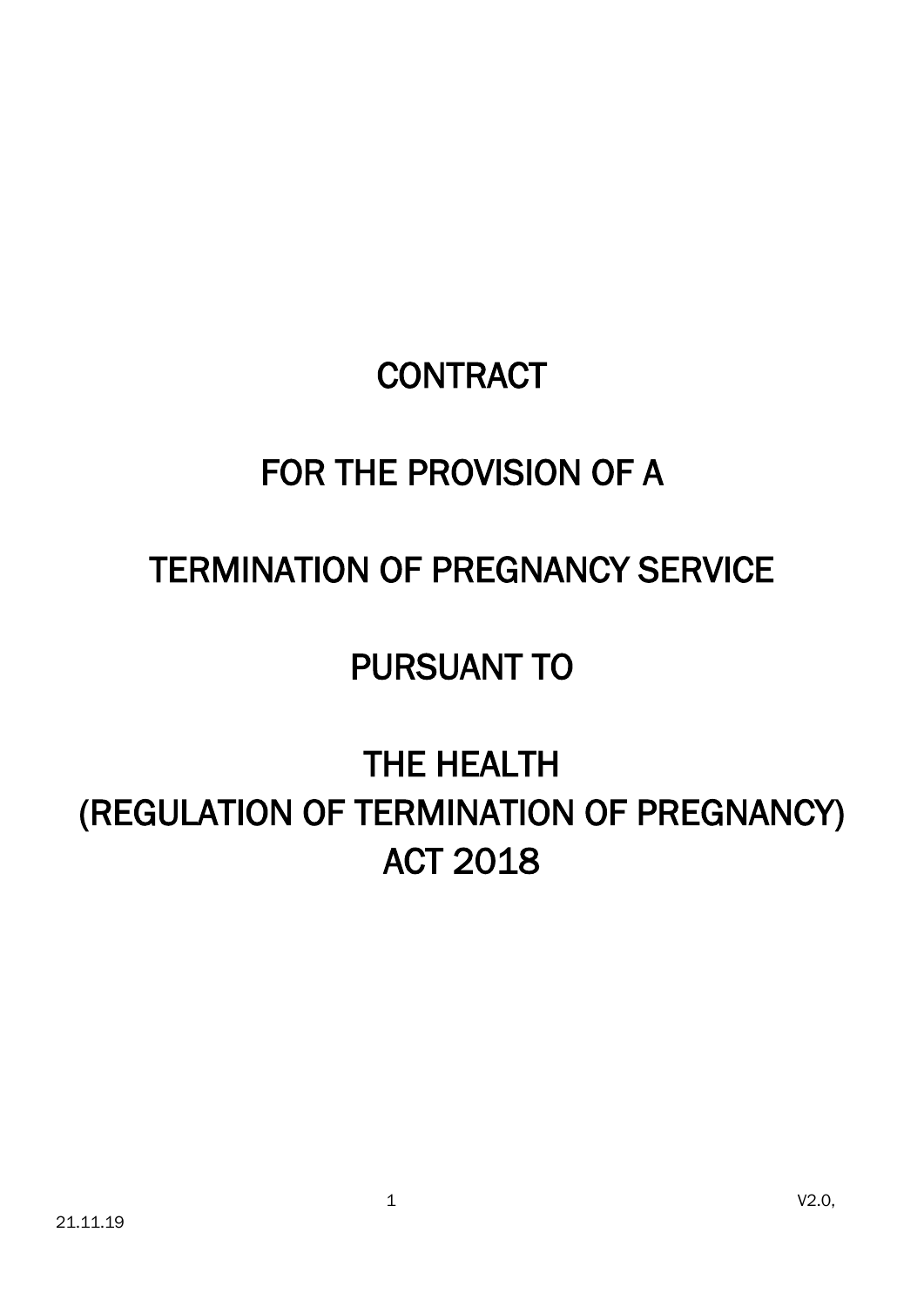# **CONTRACT**

# FOR THE PROVISION OF A

## TERMINATION OF PREGNANCY SERVICE

## PURSUANT TO

# THE HEALTH (REGULATION OF TERMINATION OF PREGNANCY) ACT 2018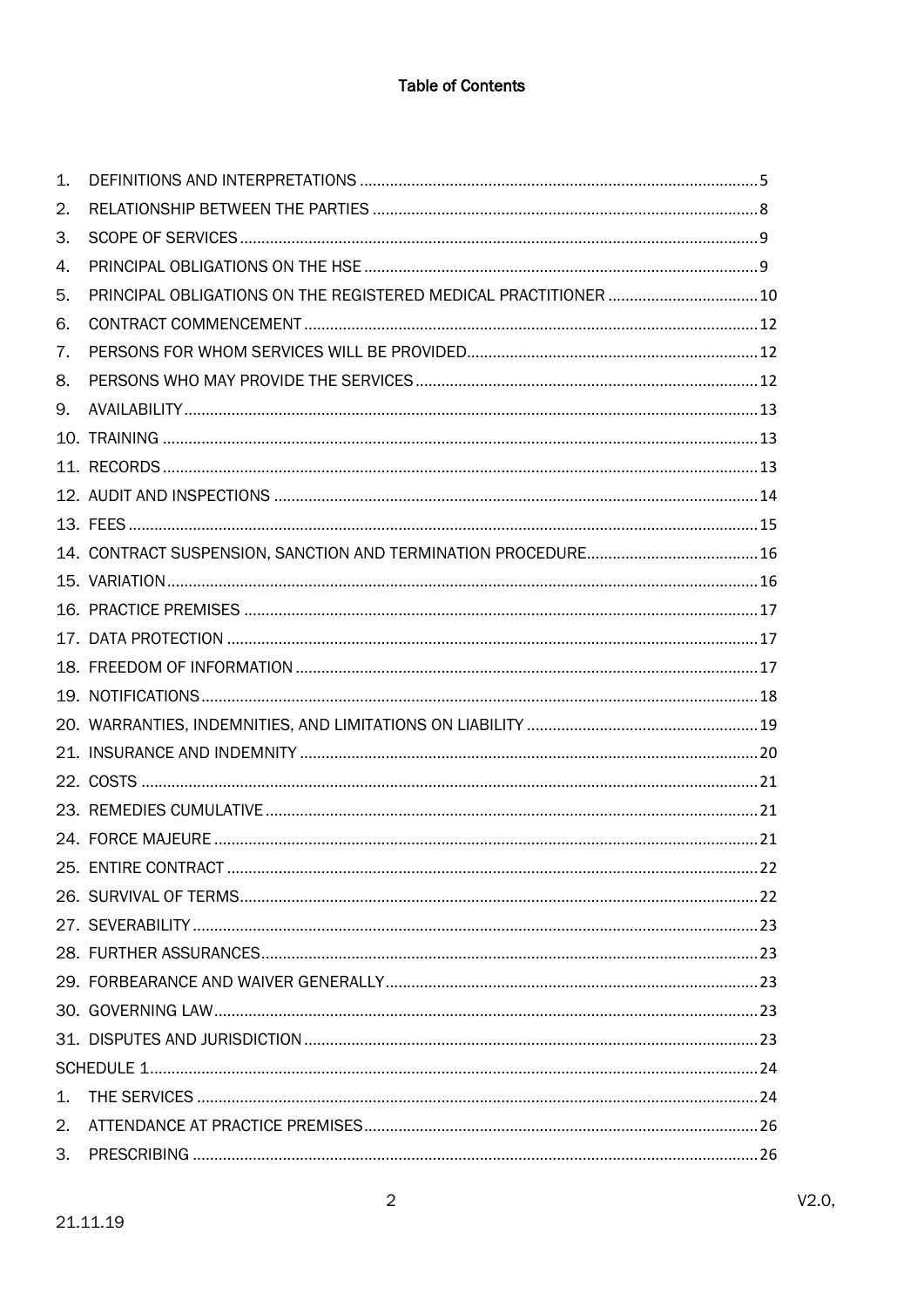| $\mathbf{1}$ . |  |
|----------------|--|
| 2.             |  |
| 3.             |  |
| 4.             |  |
| 5.             |  |
| 6.             |  |
| 7.             |  |
| 8.             |  |
| 9.             |  |
|                |  |
|                |  |
|                |  |
|                |  |
|                |  |
|                |  |
|                |  |
|                |  |
|                |  |
|                |  |
|                |  |
|                |  |
|                |  |
|                |  |
|                |  |
|                |  |
|                |  |
|                |  |
|                |  |
|                |  |
|                |  |
|                |  |
|                |  |
| 1.             |  |
| 2.             |  |
|                |  |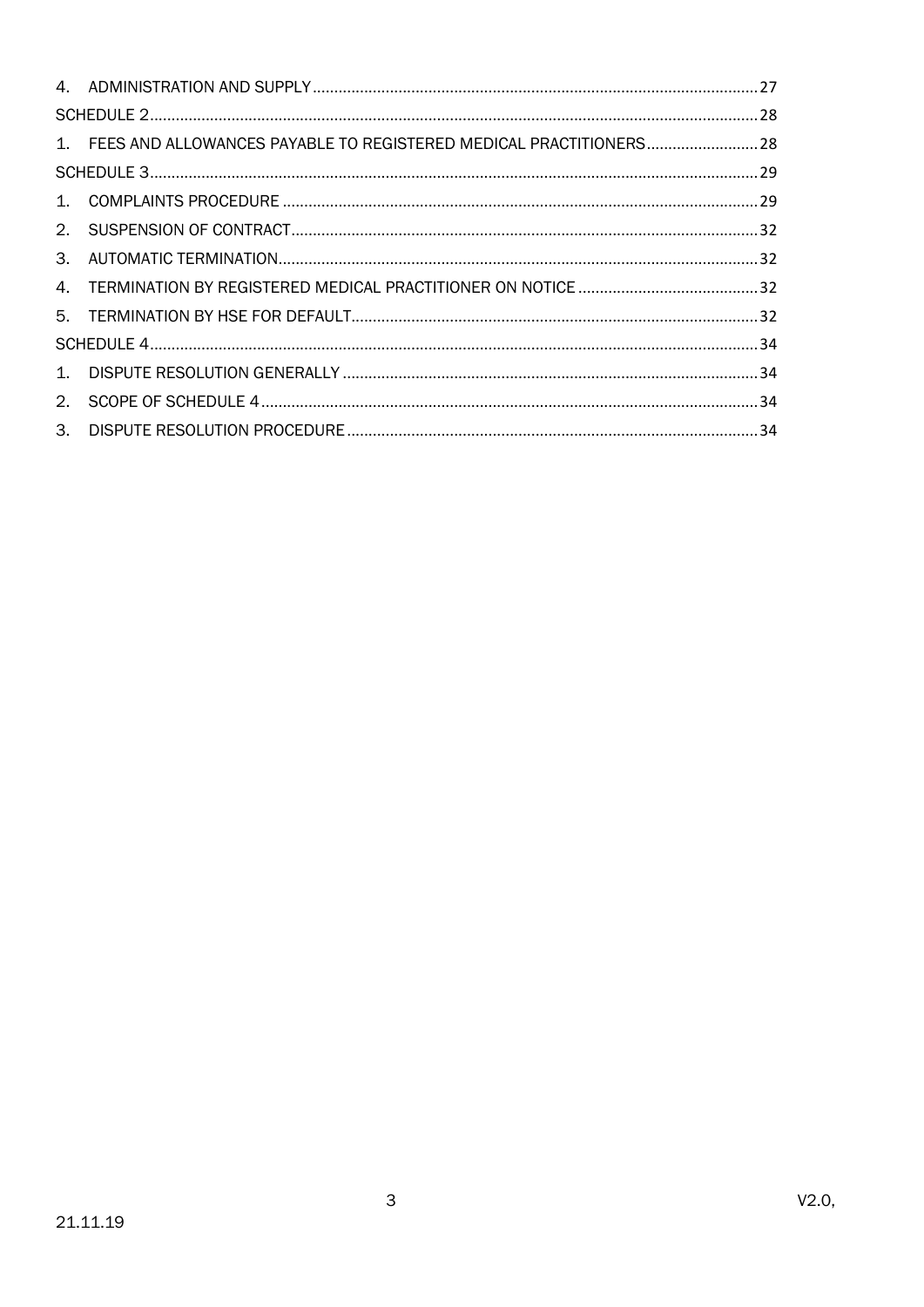|                | 1. FEES AND ALLOWANCES PAYABLE TO REGISTERED MEDICAL PRACTITIONERS 28 |  |
|----------------|-----------------------------------------------------------------------|--|
|                |                                                                       |  |
| $\mathbf{1}$ . |                                                                       |  |
| 2.             |                                                                       |  |
| 3.             |                                                                       |  |
| 4.             |                                                                       |  |
|                |                                                                       |  |
|                |                                                                       |  |
| $1_{-}$        |                                                                       |  |
| 2.             |                                                                       |  |
| 3.             |                                                                       |  |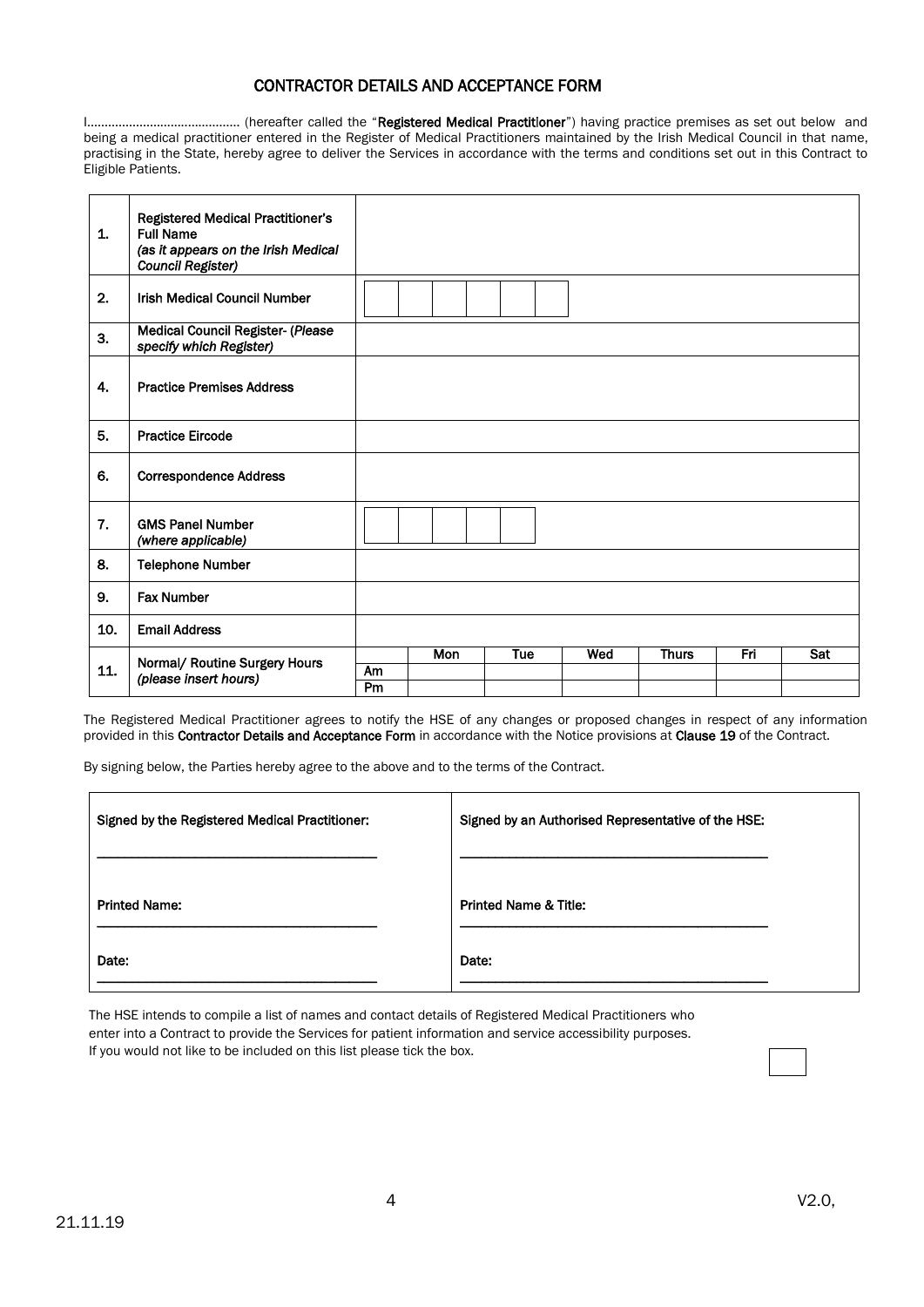## CONTRACTOR DETAILS AND ACCEPTANCE FORM

I………………………..…………… (hereafter called the "Registered Medical Practitioner") having practice premises as set out below and being a medical practitioner entered in the Register of Medical Practitioners maintained by the Irish Medical Council in that name, practising in the State, hereby agree to deliver the Services in accordance with the terms and conditions set out in this Contract to Eligible Patients.

| 1.  | <b>Registered Medical Practitioner's</b><br><b>Full Name</b><br>(as it appears on the Irish Medical<br>Council Register) |    |     |     |     |              |     |     |
|-----|--------------------------------------------------------------------------------------------------------------------------|----|-----|-----|-----|--------------|-----|-----|
| 2.  | <b>Irish Medical Council Number</b>                                                                                      |    |     |     |     |              |     |     |
| 3.  | <b>Medical Council Register- (Please</b><br>specify which Register)                                                      |    |     |     |     |              |     |     |
| 4.  | <b>Practice Premises Address</b>                                                                                         |    |     |     |     |              |     |     |
| 5.  | <b>Practice Eircode</b>                                                                                                  |    |     |     |     |              |     |     |
| 6.  | <b>Correspondence Address</b>                                                                                            |    |     |     |     |              |     |     |
| 7.  | <b>GMS Panel Number</b><br>(where applicable)                                                                            |    |     |     |     |              |     |     |
| 8.  | <b>Telephone Number</b>                                                                                                  |    |     |     |     |              |     |     |
| 9.  | <b>Fax Number</b>                                                                                                        |    |     |     |     |              |     |     |
| 10. | <b>Email Address</b>                                                                                                     |    |     |     |     |              |     |     |
|     | Normal/ Routine Surgery Hours<br>(please insert hours)                                                                   |    | Mon | Tue | Wed | <b>Thurs</b> | Fri | Sat |
| 11. |                                                                                                                          | Am |     |     |     |              |     |     |
|     |                                                                                                                          | Pm |     |     |     |              |     |     |

The Registered Medical Practitioner agrees to notify the HSE of any changes or proposed changes in respect of any information provided in this Contractor Details and Acceptance Form in accordance with the Notice provisions at Clause 19 of the Contract.

By signing below, the Parties hereby agree to the above and to the terms of the Contract.

| Signed by an Authorised Representative of the HSE: |
|----------------------------------------------------|
|                                                    |
| <b>Printed Name &amp; Title:</b>                   |
| Date:                                              |
|                                                    |

The HSE intends to compile a list of names and contact details of Registered Medical Practitioners who enter into a Contract to provide the Services for patient information and service accessibility purposes. If you would not like to be included on this list please tick the box.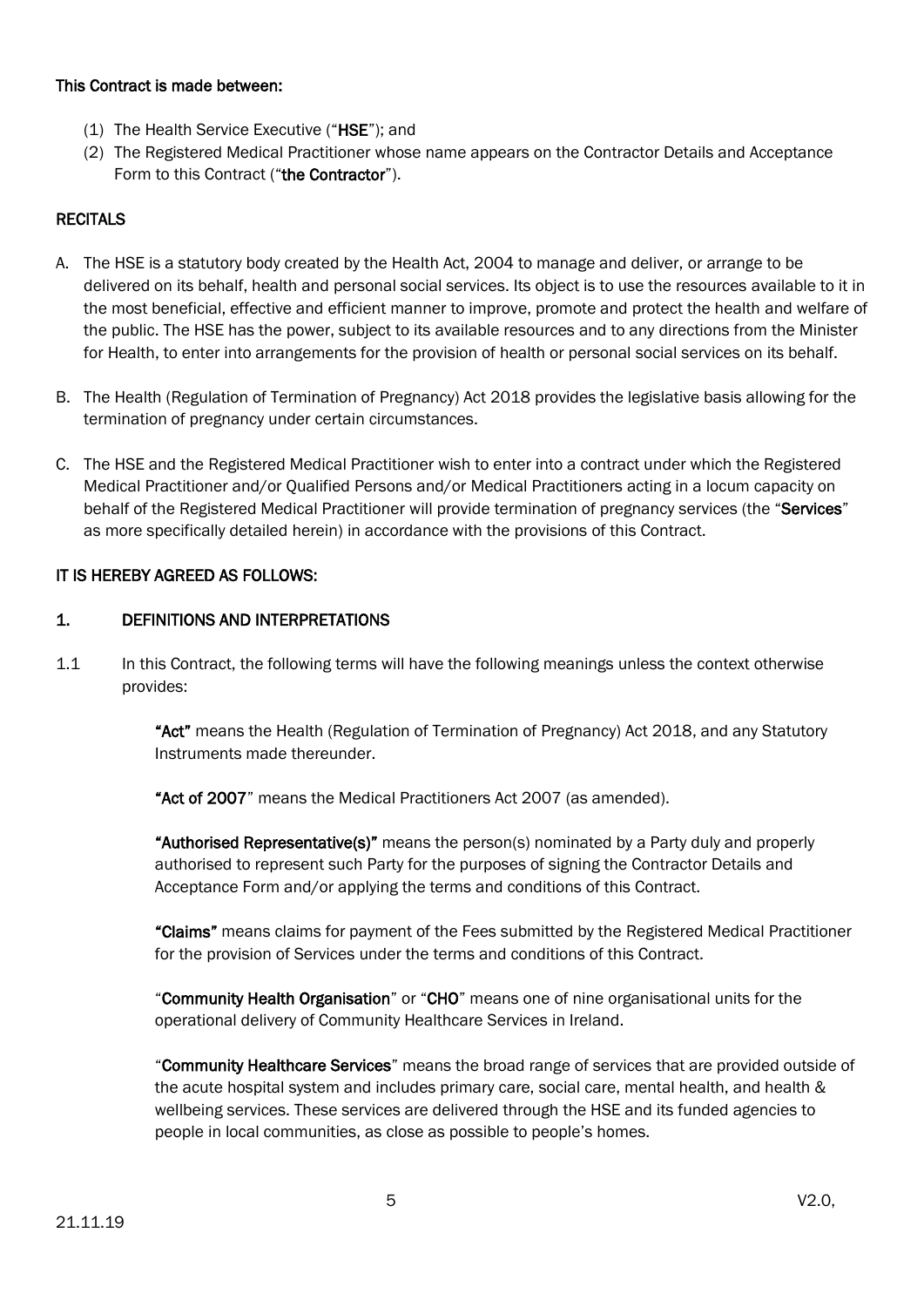## This Contract is made between:

- (1) The Health Service Executive ("HSE"); and
- (2) The Registered Medical Practitioner whose name appears on the Contractor Details and Acceptance Form to this Contract ("the Contractor").

## RECITALS

- A. The HSE is a statutory body created by the Health Act, 2004 to manage and deliver, or arrange to be delivered on its behalf, health and personal social services. Its object is to use the resources available to it in the most beneficial, effective and efficient manner to improve, promote and protect the health and welfare of the public. The HSE has the power, subject to its available resources and to any directions from the Minister for Health, to enter into arrangements for the provision of health or personal social services on its behalf.
- B. The Health (Regulation of Termination of Pregnancy) Act 2018 provides the legislative basis allowing for the termination of pregnancy under certain circumstances.
- C. The HSE and the Registered Medical Practitioner wish to enter into a contract under which the Registered Medical Practitioner and/or Qualified Persons and/or Medical Practitioners acting in a locum capacity on behalf of the Registered Medical Practitioner will provide termination of pregnancy services (the "Services" as more specifically detailed herein) in accordance with the provisions of this Contract.

## IT IS HEREBY AGREED AS FOLLOWS:

## <span id="page-4-0"></span>1. DEFINITIONS AND INTERPRETATIONS

1.1 In this Contract, the following terms will have the following meanings unless the context otherwise provides:

> "Act" means the Health (Regulation of Termination of Pregnancy) Act 2018, and any Statutory Instruments made thereunder.

"Act of 2007" means the Medical Practitioners Act 2007 (as amended).

"Authorised Representative(s)" means the person(s) nominated by a Party duly and properly authorised to represent such Party for the purposes of signing the Contractor Details and Acceptance Form and/or applying the terms and conditions of this Contract.

"Claims" means claims for payment of the Fees submitted by the Registered Medical Practitioner for the provision of Services under the terms and conditions of this Contract.

"Community Health Organisation" or "CHO" means one of nine organisational units for the operational delivery of Community Healthcare Services in Ireland.

"Community Healthcare Services" means the broad range of services that are provided outside of the acute hospital system and includes primary care, social care, mental health, and health & wellbeing services. These services are delivered through the HSE and its funded agencies to people in local communities, as close as possible to people's homes.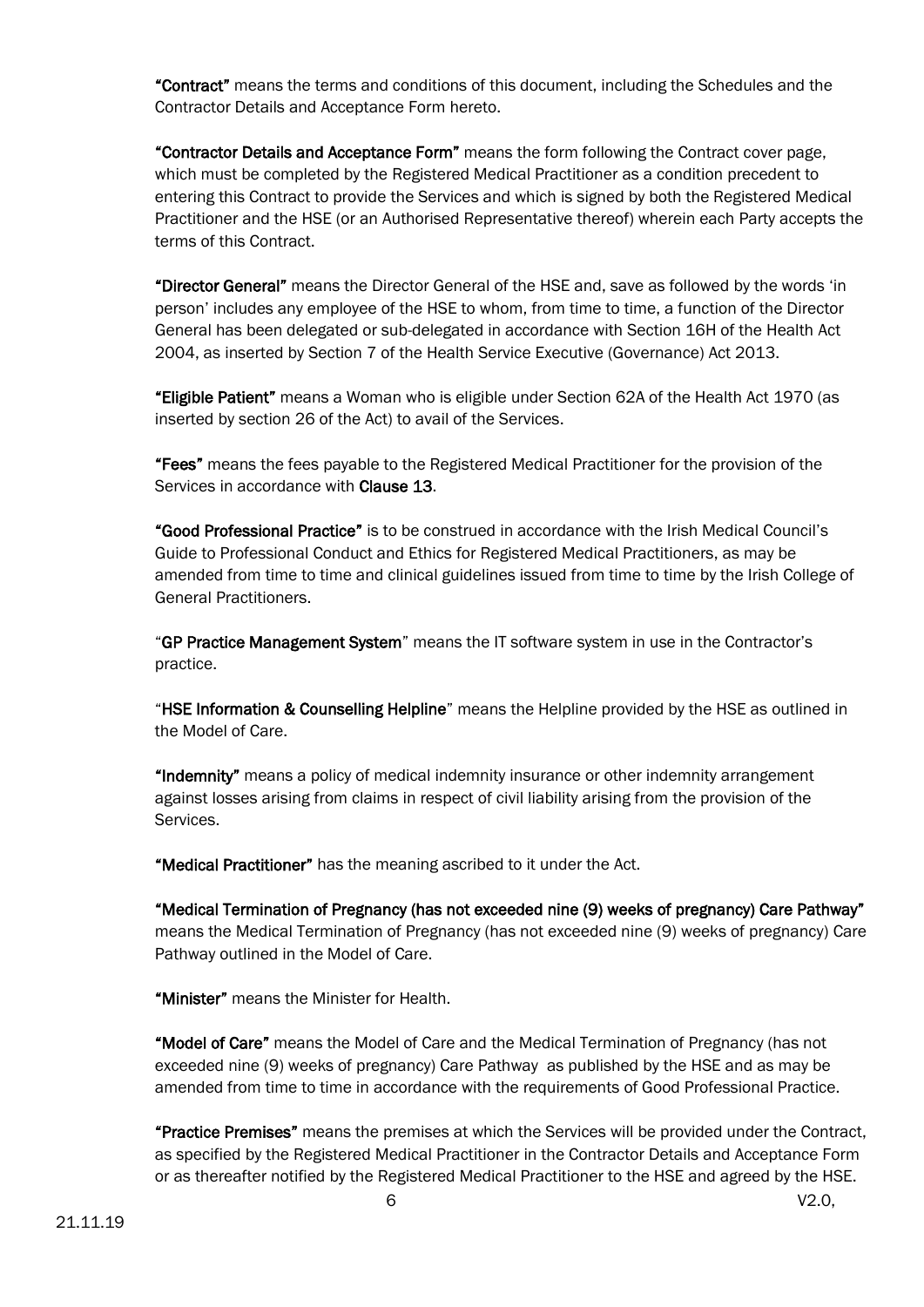"Contract" means the terms and conditions of this document, including the Schedules and the Contractor Details and Acceptance Form hereto.

"Contractor Details and Acceptance Form" means the form following the Contract cover page, which must be completed by the Registered Medical Practitioner as a condition precedent to entering this Contract to provide the Services and which is signed by both the Registered Medical Practitioner and the HSE (or an Authorised Representative thereof) wherein each Party accepts the terms of this Contract.

"Director General" means the Director General of the HSE and, save as followed by the words 'in person' includes any employee of the HSE to whom, from time to time, a function of the Director General has been delegated or sub-delegated in accordance with Section 16H of the Health Act 2004, as inserted by Section 7 of the Health Service Executive (Governance) Act 2013.

"Eligible Patient" means a Woman who is eligible under Section 62A of the Health Act 1970 (as inserted by section 26 of the Act) to avail of the Services.

**"Fees"** means the fees payable to the Registered Medical Practitioner for the provision of the Services in accordance with Clause 13.

"Good Professional Practice" is to be construed in accordance with the Irish Medical Council's Guide to Professional Conduct and Ethics for Registered Medical Practitioners, as may be amended from time to time and clinical guidelines issued from time to time by the Irish College of General Practitioners.

"GP Practice Management System" means the IT software system in use in the Contractor's practice.

"HSE Information & Counselling Helpline" means the Helpline provided by the HSE as outlined in the Model of Care.

"Indemnity" means a policy of medical indemnity insurance or other indemnity arrangement against losses arising from claims in respect of civil liability arising from the provision of the Services.

"Medical Practitioner" has the meaning ascribed to it under the Act.

"Medical Termination of Pregnancy (has not exceeded nine (9) weeks of pregnancy) Care Pathway" means the Medical Termination of Pregnancy (has not exceeded nine (9) weeks of pregnancy) Care Pathway outlined in the Model of Care.

"Minister" means the Minister for Health.

"Model of Care" means the Model of Care and the Medical Termination of Pregnancy (has not exceeded nine (9) weeks of pregnancy) Care Pathway as published by the HSE and as may be amended from time to time in accordance with the requirements of Good Professional Practice.

"Practice Premises" means the premises at which the Services will be provided under the Contract, as specified by the Registered Medical Practitioner in the Contractor Details and Acceptance Form or as thereafter notified by the Registered Medical Practitioner to the HSE and agreed by the HSE.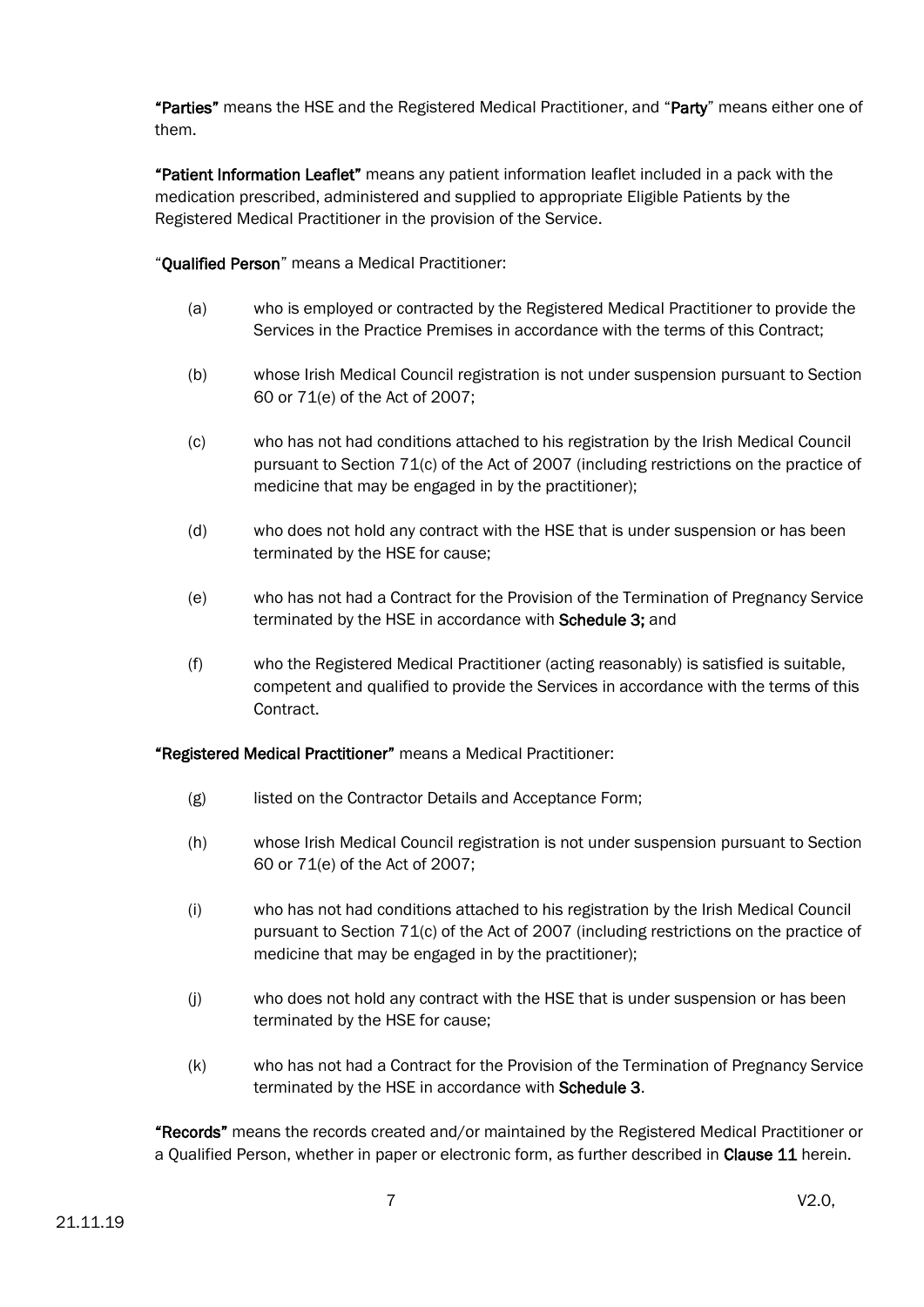"Parties" means the HSE and the Registered Medical Practitioner, and "Party" means either one of them.

"Patient Information Leaflet" means any patient information leaflet included in a pack with the medication prescribed, administered and supplied to appropriate Eligible Patients by the Registered Medical Practitioner in the provision of the Service.

"Qualified Person" means a Medical Practitioner:

- (a) who is employed or contracted by the Registered Medical Practitioner to provide the Services in the Practice Premises in accordance with the terms of this Contract;
- (b) whose Irish Medical Council registration is not under suspension pursuant to Section 60 or 71(e) of the Act of 2007;
- (c) who has not had conditions attached to his registration by the Irish Medical Council pursuant to Section 71(c) of the Act of 2007 (including restrictions on the practice of medicine that may be engaged in by the practitioner);
- (d) who does not hold any contract with the HSE that is under suspension or has been terminated by the HSE for cause;
- (e) who has not had a Contract for the Provision of the Termination of Pregnancy Service terminated by the HSE in accordance with Schedule 3; and
- (f) who the Registered Medical Practitioner (acting reasonably) is satisfied is suitable, competent and qualified to provide the Services in accordance with the terms of this Contract.

"Registered Medical Practitioner" means a Medical Practitioner:

- (g) listed on the Contractor Details and Acceptance Form;
- (h) whose Irish Medical Council registration is not under suspension pursuant to Section 60 or 71(e) of the Act of 2007;
- (i) who has not had conditions attached to his registration by the Irish Medical Council pursuant to Section 71(c) of the Act of 2007 (including restrictions on the practice of medicine that may be engaged in by the practitioner);
- (j) who does not hold any contract with the HSE that is under suspension or has been terminated by the HSE for cause;
- (k) who has not had a Contract for the Provision of the Termination of Pregnancy Service terminated by the HSE in accordance with Schedule 3.

"Records" means the records created and/or maintained by the Registered Medical Practitioner or a Qualified Person, whether in paper or electronic form, as further described in Clause 11 herein.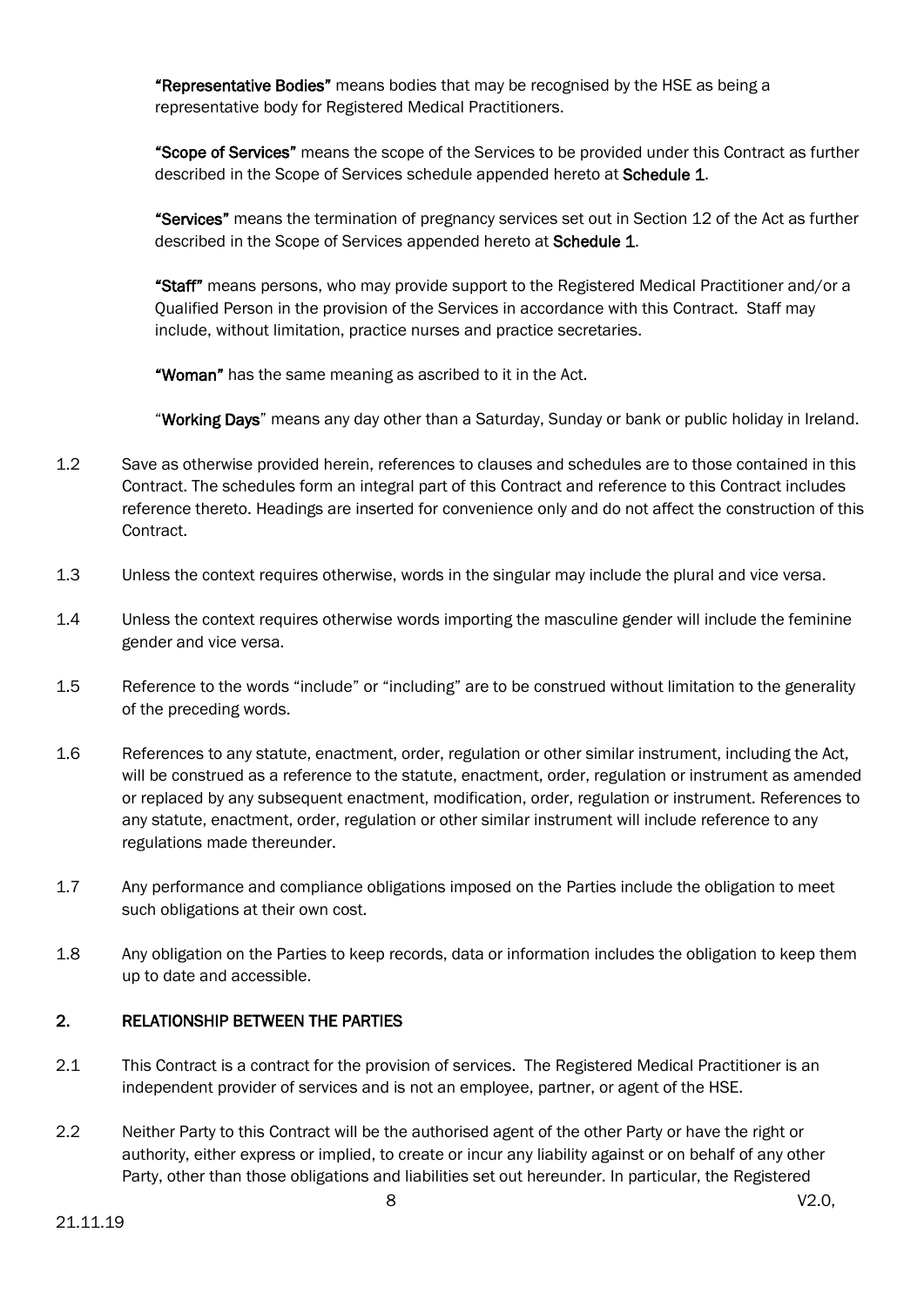"Representative Bodies" means bodies that may be recognised by the HSE as being a representative body for Registered Medical Practitioners.

"Scope of Services" means the scope of the Services to be provided under this Contract as further described in the Scope of Services schedule appended hereto at Schedule 1.

"Services" means the termination of pregnancy services set out in Section 12 of the Act as further described in the Scope of Services appended hereto at Schedule 1.

"Staff" means persons, who may provide support to the Registered Medical Practitioner and/or a Qualified Person in the provision of the Services in accordance with this Contract. Staff may include, without limitation, practice nurses and practice secretaries.

"Woman" has the same meaning as ascribed to it in the Act.

"Working Days" means any day other than a Saturday, Sunday or bank or public holiday in Ireland.

- 1.2 Save as otherwise provided herein, references to clauses and schedules are to those contained in this Contract. The schedules form an integral part of this Contract and reference to this Contract includes reference thereto. Headings are inserted for convenience only and do not affect the construction of this Contract.
- 1.3 Unless the context requires otherwise, words in the singular may include the plural and vice versa.
- 1.4 Unless the context requires otherwise words importing the masculine gender will include the feminine gender and vice versa.
- 1.5 Reference to the words "include" or "including" are to be construed without limitation to the generality of the preceding words.
- 1.6 References to any statute, enactment, order, regulation or other similar instrument, including the Act, will be construed as a reference to the statute, enactment, order, regulation or instrument as amended or replaced by any subsequent enactment, modification, order, regulation or instrument. References to any statute, enactment, order, regulation or other similar instrument will include reference to any regulations made thereunder.
- 1.7 Any performance and compliance obligations imposed on the Parties include the obligation to meet such obligations at their own cost.
- 1.8 Any obligation on the Parties to keep records, data or information includes the obligation to keep them up to date and accessible.

## <span id="page-7-0"></span>2. RELATIONSHIP BETWEEN THE PARTIES

- 2.1 This Contract is a contract for the provision of services. The Registered Medical Practitioner is an independent provider of services and is not an employee, partner, or agent of the HSE.
- 2.2 Neither Party to this Contract will be the authorised agent of the other Party or have the right or authority, either express or implied, to create or incur any liability against or on behalf of any other Party, other than those obligations and liabilities set out hereunder. In particular, the Registered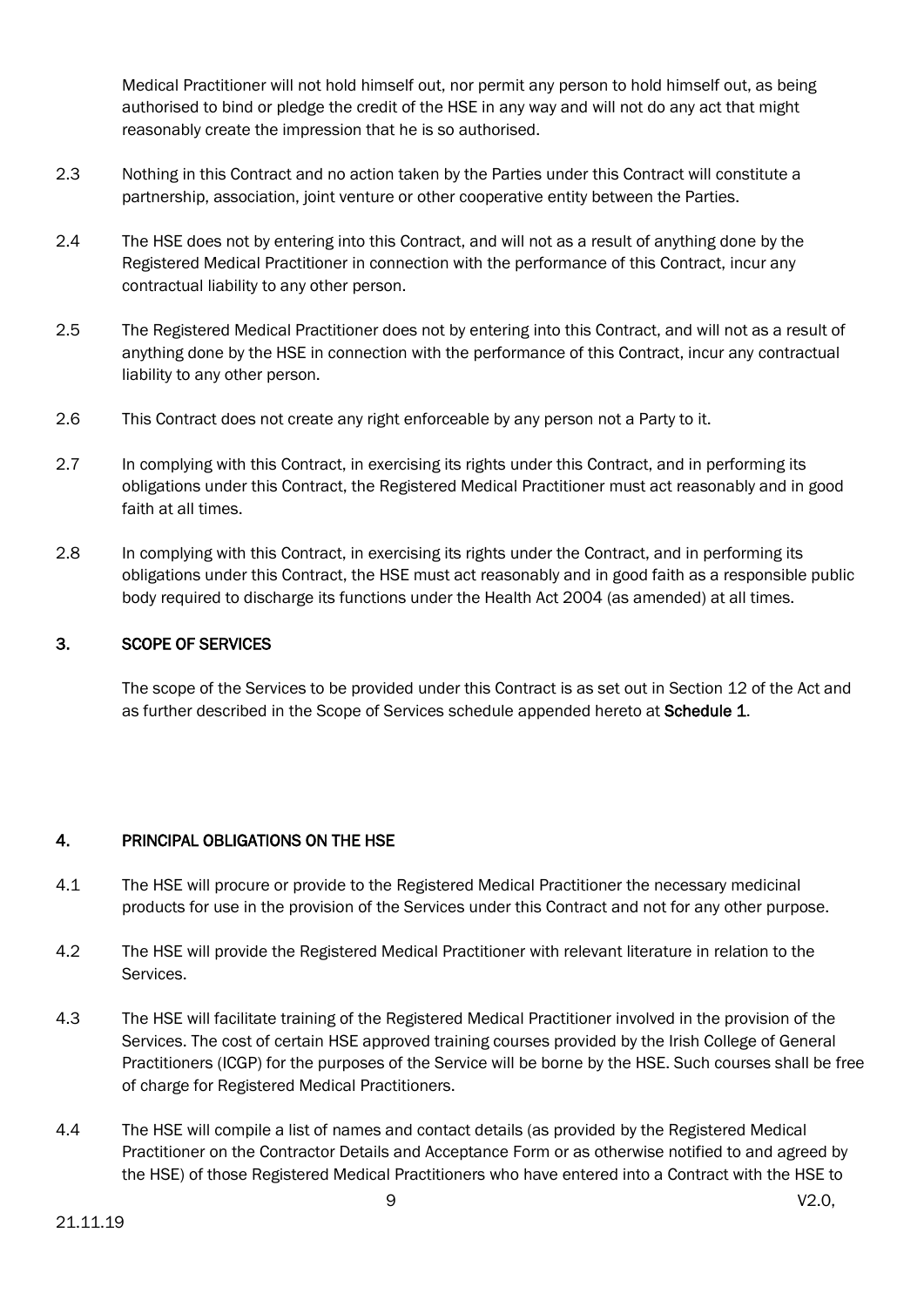Medical Practitioner will not hold himself out, nor permit any person to hold himself out, as being authorised to bind or pledge the credit of the HSE in any way and will not do any act that might reasonably create the impression that he is so authorised.

- 2.3 Nothing in this Contract and no action taken by the Parties under this Contract will constitute a partnership, association, joint venture or other cooperative entity between the Parties.
- 2.4 The HSE does not by entering into this Contract, and will not as a result of anything done by the Registered Medical Practitioner in connection with the performance of this Contract, incur any contractual liability to any other person.
- 2.5 The Registered Medical Practitioner does not by entering into this Contract, and will not as a result of anything done by the HSE in connection with the performance of this Contract, incur any contractual liability to any other person.
- 2.6 This Contract does not create any right enforceable by any person not a Party to it.
- 2.7 In complying with this Contract, in exercising its rights under this Contract, and in performing its obligations under this Contract, the Registered Medical Practitioner must act reasonably and in good faith at all times.
- 2.8 In complying with this Contract, in exercising its rights under the Contract, and in performing its obligations under this Contract, the HSE must act reasonably and in good faith as a responsible public body required to discharge its functions under the Health Act 2004 (as amended) at all times.

## <span id="page-8-0"></span>3. SCOPE OF SERVICES

The scope of the Services to be provided under this Contract is as set out in Section 12 of the Act and as further described in the Scope of Services schedule appended hereto at Schedule 1.

## <span id="page-8-1"></span>4. PRINCIPAL OBLIGATIONS ON THE HSE

- 4.1 The HSE will procure or provide to the Registered Medical Practitioner the necessary medicinal products for use in the provision of the Services under this Contract and not for any other purpose.
- 4.2 The HSE will provide the Registered Medical Practitioner with relevant literature in relation to the Services.
- 4.3 The HSE will facilitate training of the Registered Medical Practitioner involved in the provision of the Services. The cost of certain HSE approved training courses provided by the Irish College of General Practitioners (ICGP) for the purposes of the Service will be borne by the HSE. Such courses shall be free of charge for Registered Medical Practitioners.
- 4.4 The HSE will compile a list of names and contact details (as provided by the Registered Medical Practitioner on the Contractor Details and Acceptance Form or as otherwise notified to and agreed by the HSE) of those Registered Medical Practitioners who have entered into a Contract with the HSE to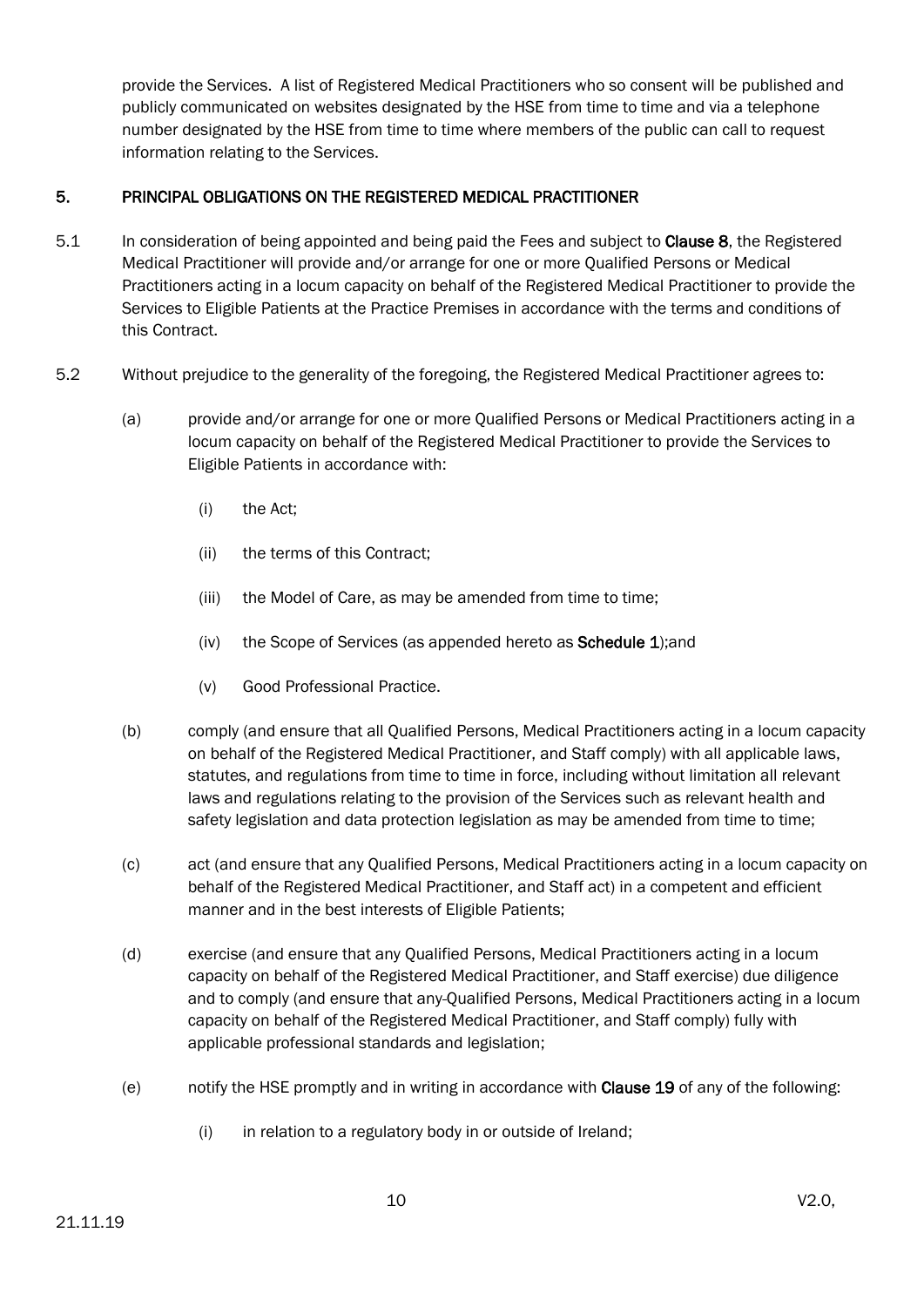provide the Services. A list of Registered Medical Practitioners who so consent will be published and publicly communicated on websites designated by the HSE from time to time and via a telephone number designated by the HSE from time to time where members of the public can call to request information relating to the Services.

## <span id="page-9-0"></span>5. PRINCIPAL OBLIGATIONS ON THE REGISTERED MEDICAL PRACTITIONER

- 5.1 In consideration of being appointed and being paid the Fees and subject to **Clause 8**, the Registered Medical Practitioner will provide and/or arrange for one or more Qualified Persons or Medical Practitioners acting in a locum capacity on behalf of the Registered Medical Practitioner to provide the Services to Eligible Patients at the Practice Premises in accordance with the terms and conditions of this Contract.
- 5.2 Without prejudice to the generality of the foregoing, the Registered Medical Practitioner agrees to:
	- (a) provide and/or arrange for one or more Qualified Persons or Medical Practitioners acting in a locum capacity on behalf of the Registered Medical Practitioner to provide the Services to Eligible Patients in accordance with:
		- (i) the Act;
		- (ii) the terms of this Contract;
		- (iii) the Model of Care, as may be amended from time to time;
		- (iv) the Scope of Services (as appended hereto as Schedule 1);and
		- (v) Good Professional Practice.
	- (b) comply (and ensure that all Qualified Persons, Medical Practitioners acting in a locum capacity on behalf of the Registered Medical Practitioner, and Staff comply) with all applicable laws, statutes, and regulations from time to time in force, including without limitation all relevant laws and regulations relating to the provision of the Services such as relevant health and safety legislation and data protection legislation as may be amended from time to time;
	- (c) act (and ensure that any Qualified Persons, Medical Practitioners acting in a locum capacity on behalf of the Registered Medical Practitioner, and Staff act) in a competent and efficient manner and in the best interests of Eligible Patients;
	- (d) exercise (and ensure that any Qualified Persons, Medical Practitioners acting in a locum capacity on behalf of the Registered Medical Practitioner, and Staff exercise) due diligence and to comply (and ensure that any Qualified Persons, Medical Practitioners acting in a locum capacity on behalf of the Registered Medical Practitioner, and Staff comply) fully with applicable professional standards and legislation;
	- (e) notify the HSE promptly and in writing in accordance with Clause 19 of any of the following:
		- (i) in relation to a regulatory body in or outside of Ireland: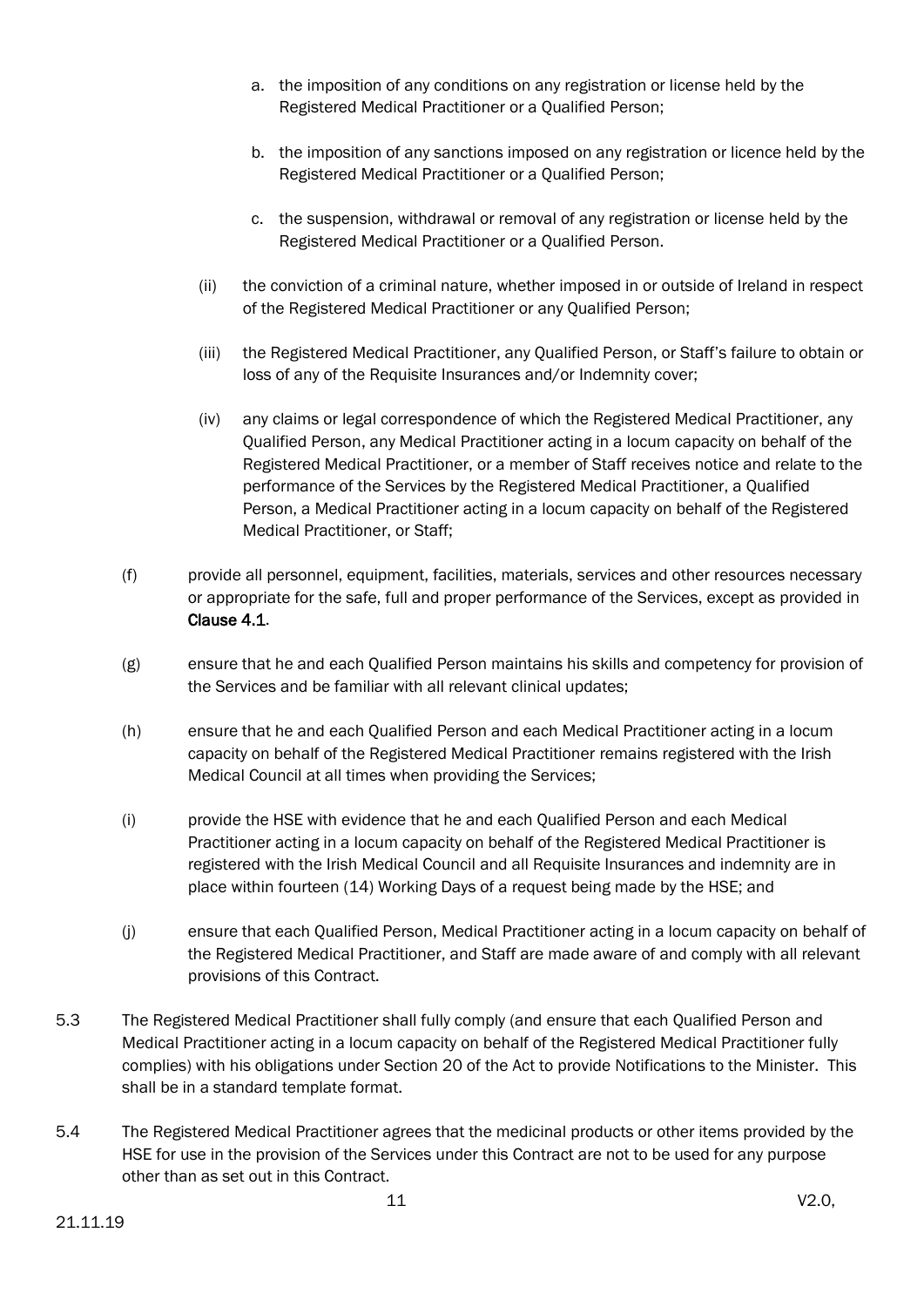- a. the imposition of any conditions on any registration or license held by the Registered Medical Practitioner or a Qualified Person;
- b. the imposition of any sanctions imposed on any registration or licence held by the Registered Medical Practitioner or a Qualified Person;
- c. the suspension, withdrawal or removal of any registration or license held by the Registered Medical Practitioner or a Qualified Person.
- (ii) the conviction of a criminal nature, whether imposed in or outside of Ireland in respect of the Registered Medical Practitioner or any Qualified Person;
- (iii) the Registered Medical Practitioner, any Qualified Person, or Staff's failure to obtain or loss of any of the Requisite Insurances and/or Indemnity cover;
- (iv) any claims or legal correspondence of which the Registered Medical Practitioner, any Qualified Person, any Medical Practitioner acting in a locum capacity on behalf of the Registered Medical Practitioner, or a member of Staff receives notice and relate to the performance of the Services by the Registered Medical Practitioner, a Qualified Person, a Medical Practitioner acting in a locum capacity on behalf of the Registered Medical Practitioner, or Staff;
- (f) provide all personnel, equipment, facilities, materials, services and other resources necessary or appropriate for the safe, full and proper performance of the Services, except as provided in Clause 4.1.
- (g) ensure that he and each Qualified Person maintains his skills and competency for provision of the Services and be familiar with all relevant clinical updates;
- (h) ensure that he and each Qualified Person and each Medical Practitioner acting in a locum capacity on behalf of the Registered Medical Practitioner remains registered with the Irish Medical Council at all times when providing the Services;
- (i) provide the HSE with evidence that he and each Qualified Person and each Medical Practitioner acting in a locum capacity on behalf of the Registered Medical Practitioner is registered with the Irish Medical Council and all Requisite Insurances and indemnity are in place within fourteen (14) Working Days of a request being made by the HSE; and
- (j) ensure that each Qualified Person, Medical Practitioner acting in a locum capacity on behalf of the Registered Medical Practitioner, and Staff are made aware of and comply with all relevant provisions of this Contract.
- 5.3 The Registered Medical Practitioner shall fully comply (and ensure that each Qualified Person and Medical Practitioner acting in a locum capacity on behalf of the Registered Medical Practitioner fully complies) with his obligations under Section 20 of the Act to provide Notifications to the Minister. This shall be in a standard template format.
- 5.4 The Registered Medical Practitioner agrees that the medicinal products or other items provided by the HSE for use in the provision of the Services under this Contract are not to be used for any purpose other than as set out in this Contract.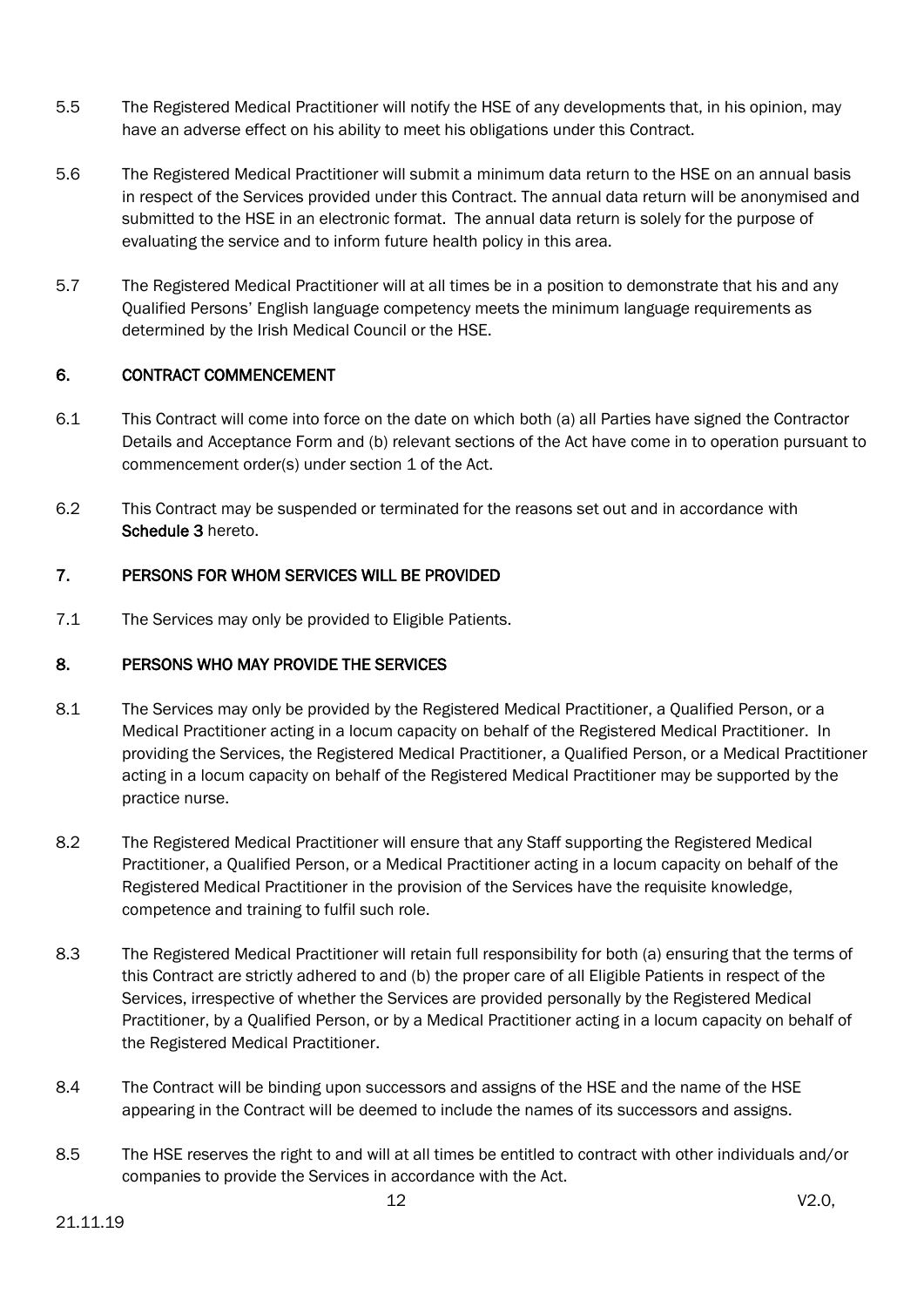- 5.5 The Registered Medical Practitioner will notify the HSE of any developments that, in his opinion, may have an adverse effect on his ability to meet his obligations under this Contract.
- 5.6 The Registered Medical Practitioner will submit a minimum data return to the HSE on an annual basis in respect of the Services provided under this Contract. The annual data return will be anonymised and submitted to the HSE in an electronic format. The annual data return is solely for the purpose of evaluating the service and to inform future health policy in this area.
- 5.7 The Registered Medical Practitioner will at all times be in a position to demonstrate that his and any Qualified Persons' English language competency meets the minimum language requirements as determined by the Irish Medical Council or the HSE.

## <span id="page-11-0"></span>6. CONTRACT COMMENCEMENT

- 6.1 This Contract will come into force on the date on which both (a) all Parties have signed the Contractor Details and Acceptance Form and (b) relevant sections of the Act have come in to operation pursuant to commencement order(s) under section 1 of the Act.
- 6.2 This Contract may be suspended or terminated for the reasons set out and in accordance with Schedule 3 hereto.

## <span id="page-11-1"></span>7. PERSONS FOR WHOM SERVICES WILL BE PROVIDED

7.1 The Services may only be provided to Eligible Patients.

## <span id="page-11-2"></span>8. PERSONS WHO MAY PROVIDE THE SERVICES

- 8.1 The Services may only be provided by the Registered Medical Practitioner, a Qualified Person, or a Medical Practitioner acting in a locum capacity on behalf of the Registered Medical Practitioner. In providing the Services, the Registered Medical Practitioner, a Qualified Person, or a Medical Practitioner acting in a locum capacity on behalf of the Registered Medical Practitioner may be supported by the practice nurse.
- 8.2 The Registered Medical Practitioner will ensure that any Staff supporting the Registered Medical Practitioner, a Qualified Person, or a Medical Practitioner acting in a locum capacity on behalf of the Registered Medical Practitioner in the provision of the Services have the requisite knowledge, competence and training to fulfil such role.
- 8.3 The Registered Medical Practitioner will retain full responsibility for both (a) ensuring that the terms of this Contract are strictly adhered to and (b) the proper care of all Eligible Patients in respect of the Services, irrespective of whether the Services are provided personally by the Registered Medical Practitioner, by a Qualified Person, or by a Medical Practitioner acting in a locum capacity on behalf of the Registered Medical Practitioner.
- 8.4 The Contract will be binding upon successors and assigns of the HSE and the name of the HSE appearing in the Contract will be deemed to include the names of its successors and assigns.
- 8.5 The HSE reserves the right to and will at all times be entitled to contract with other individuals and/or companies to provide the Services in accordance with the Act.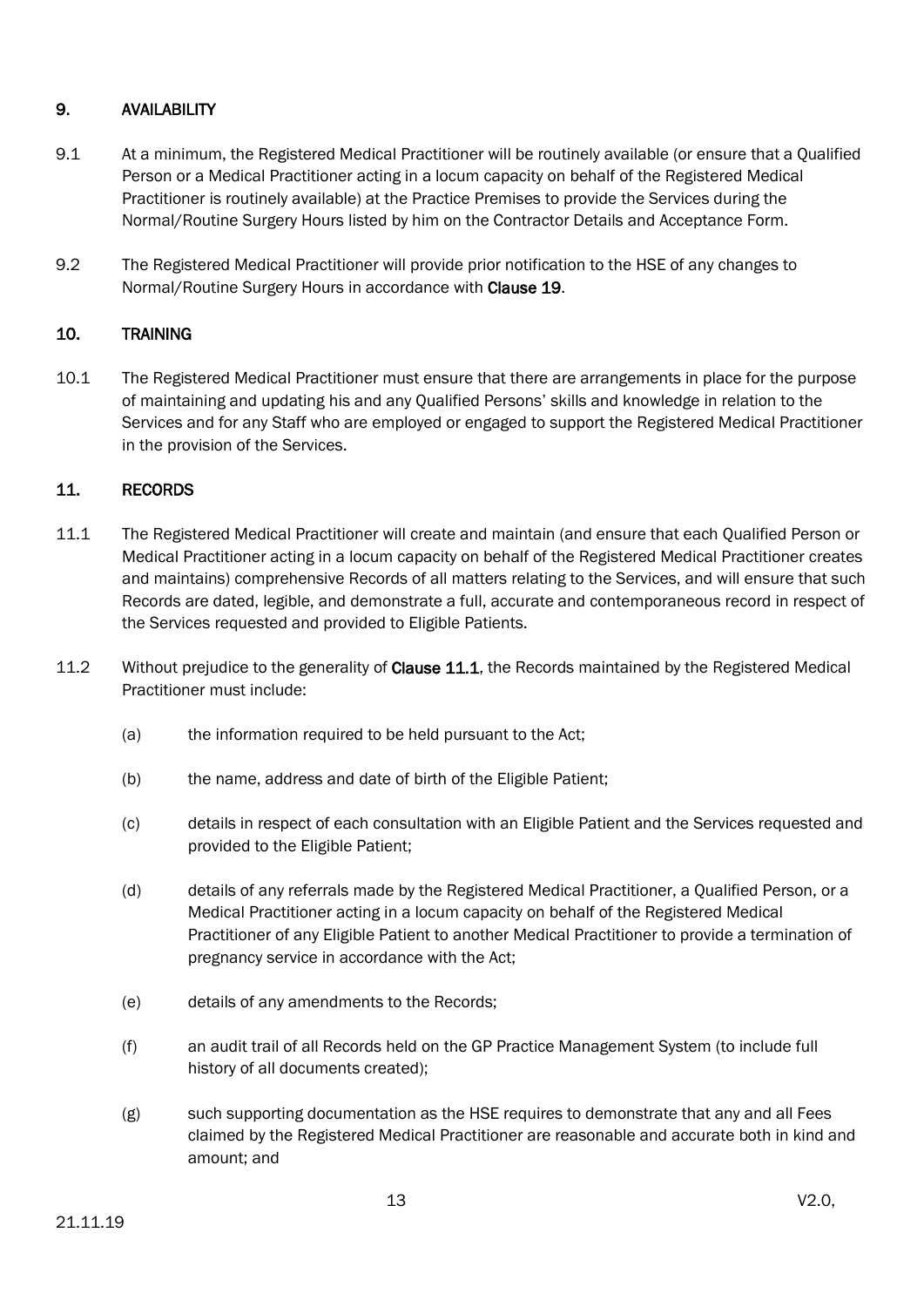## <span id="page-12-0"></span>9. AVAILABILITY

- 9.1 At a minimum, the Registered Medical Practitioner will be routinely available (or ensure that a Qualified Person or a Medical Practitioner acting in a locum capacity on behalf of the Registered Medical Practitioner is routinely available) at the Practice Premises to provide the Services during the Normal/Routine Surgery Hours listed by him on the Contractor Details and Acceptance Form.
- 9.2 The Registered Medical Practitioner will provide prior notification to the HSE of any changes to Normal/Routine Surgery Hours in accordance with Clause 19.

## <span id="page-12-1"></span>10. TRAINING

10.1 The Registered Medical Practitioner must ensure that there are arrangements in place for the purpose of maintaining and updating his and any Qualified Persons' skills and knowledge in relation to the Services and for any Staff who are employed or engaged to support the Registered Medical Practitioner in the provision of the Services.

## <span id="page-12-2"></span>11. RECORDS

- 11.1 The Registered Medical Practitioner will create and maintain (and ensure that each Qualified Person or Medical Practitioner acting in a locum capacity on behalf of the Registered Medical Practitioner creates and maintains) comprehensive Records of all matters relating to the Services, and will ensure that such Records are dated, legible, and demonstrate a full, accurate and contemporaneous record in respect of the Services requested and provided to Eligible Patients.
- 11.2 Without prejudice to the generality of Clause 11.1, the Records maintained by the Registered Medical Practitioner must include:
	- (a) the information required to be held pursuant to the Act;
	- (b) the name, address and date of birth of the Eligible Patient;
	- (c) details in respect of each consultation with an Eligible Patient and the Services requested and provided to the Eligible Patient;
	- (d) details of any referrals made by the Registered Medical Practitioner, a Qualified Person, or a Medical Practitioner acting in a locum capacity on behalf of the Registered Medical Practitioner of any Eligible Patient to another Medical Practitioner to provide a termination of pregnancy service in accordance with the Act;
	- (e) details of any amendments to the Records;
	- (f) an audit trail of all Records held on the GP Practice Management System (to include full history of all documents created);
	- (g) such supporting documentation as the HSE requires to demonstrate that any and all Fees claimed by the Registered Medical Practitioner are reasonable and accurate both in kind and amount; and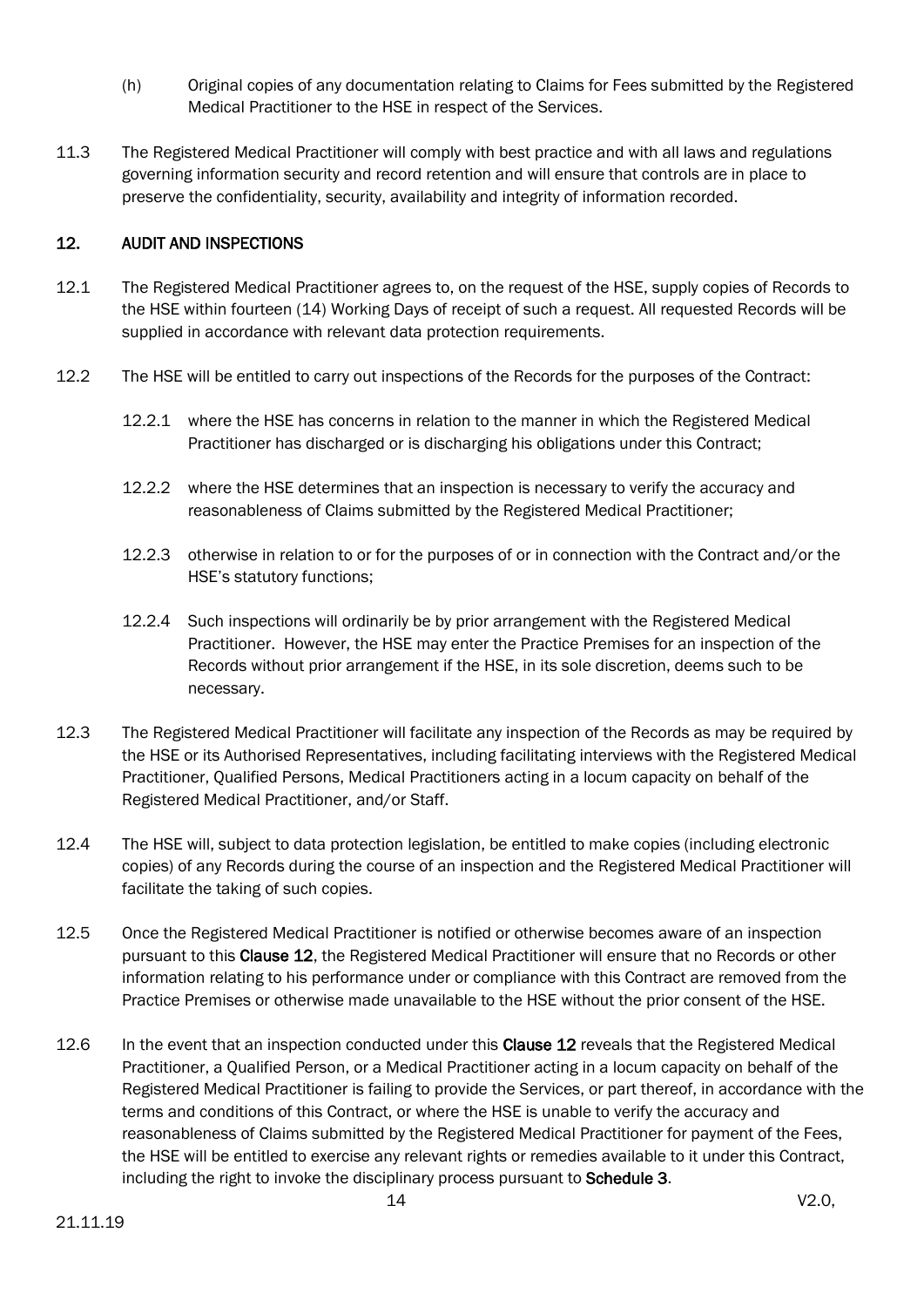- (h) Original copies of any documentation relating to Claims for Fees submitted by the Registered Medical Practitioner to the HSE in respect of the Services.
- 11.3 The Registered Medical Practitioner will comply with best practice and with all laws and regulations governing information security and record retention and will ensure that controls are in place to preserve the confidentiality, security, availability and integrity of information recorded.

## <span id="page-13-0"></span>12. AUDIT AND INSPECTIONS

- 12.1 The Registered Medical Practitioner agrees to, on the request of the HSE, supply copies of Records to the HSE within fourteen (14) Working Days of receipt of such a request. All requested Records will be supplied in accordance with relevant data protection requirements.
- 12.2 The HSE will be entitled to carry out inspections of the Records for the purposes of the Contract:
	- 12.2.1 where the HSE has concerns in relation to the manner in which the Registered Medical Practitioner has discharged or is discharging his obligations under this Contract;
	- 12.2.2 where the HSE determines that an inspection is necessary to verify the accuracy and reasonableness of Claims submitted by the Registered Medical Practitioner;
	- 12.2.3 otherwise in relation to or for the purposes of or in connection with the Contract and/or the HSE's statutory functions;
	- 12.2.4 Such inspections will ordinarily be by prior arrangement with the Registered Medical Practitioner. However, the HSE may enter the Practice Premises for an inspection of the Records without prior arrangement if the HSE, in its sole discretion, deems such to be necessary.
- 12.3 The Registered Medical Practitioner will facilitate any inspection of the Records as may be required by the HSE or its Authorised Representatives, including facilitating interviews with the Registered Medical Practitioner, Qualified Persons, Medical Practitioners acting in a locum capacity on behalf of the Registered Medical Practitioner, and/or Staff.
- 12.4 The HSE will, subject to data protection legislation, be entitled to make copies (including electronic copies) of any Records during the course of an inspection and the Registered Medical Practitioner will facilitate the taking of such copies.
- 12.5 Once the Registered Medical Practitioner is notified or otherwise becomes aware of an inspection pursuant to this Clause 12, the Registered Medical Practitioner will ensure that no Records or other information relating to his performance under or compliance with this Contract are removed from the Practice Premises or otherwise made unavailable to the HSE without the prior consent of the HSE.
- 12.6 In the event that an inspection conducted under this Clause 12 reveals that the Registered Medical Practitioner, a Qualified Person, or a Medical Practitioner acting in a locum capacity on behalf of the Registered Medical Practitioner is failing to provide the Services, or part thereof, in accordance with the terms and conditions of this Contract, or where the HSE is unable to verify the accuracy and reasonableness of Claims submitted by the Registered Medical Practitioner for payment of the Fees, the HSE will be entitled to exercise any relevant rights or remedies available to it under this Contract, including the right to invoke the disciplinary process pursuant to Schedule 3.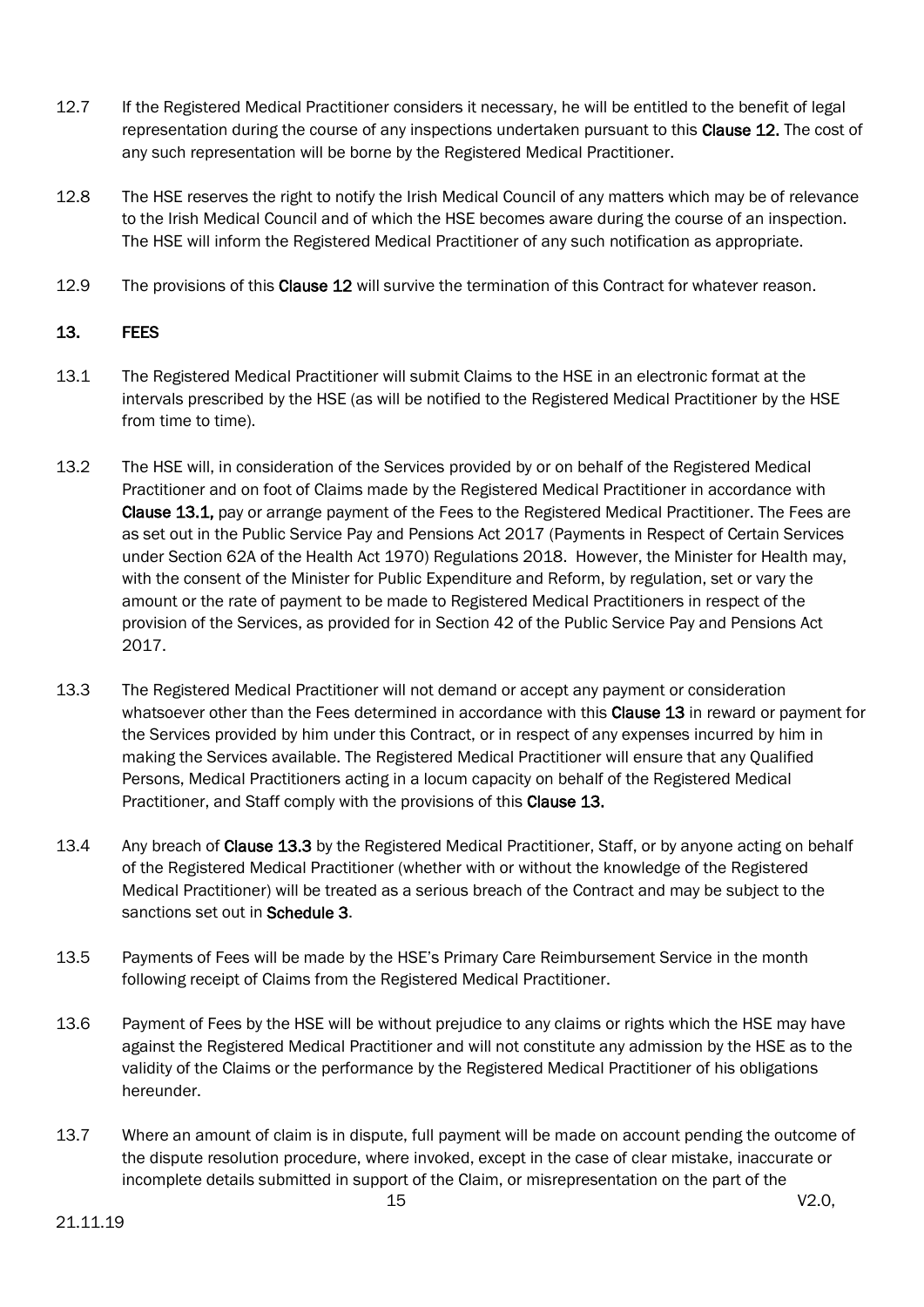- 12.7 If the Registered Medical Practitioner considers it necessary, he will be entitled to the benefit of legal representation during the course of any inspections undertaken pursuant to this Clause 12. The cost of any such representation will be borne by the Registered Medical Practitioner.
- 12.8 The HSE reserves the right to notify the Irish Medical Council of any matters which may be of relevance to the Irish Medical Council and of which the HSE becomes aware during the course of an inspection. The HSE will inform the Registered Medical Practitioner of any such notification as appropriate.
- 12.9 The provisions of this Clause 12 will survive the termination of this Contract for whatever reason.

## <span id="page-14-0"></span>13. FEES

- 13.1 The Registered Medical Practitioner will submit Claims to the HSE in an electronic format at the intervals prescribed by the HSE (as will be notified to the Registered Medical Practitioner by the HSE from time to time).
- 13.2 The HSE will, in consideration of the Services provided by or on behalf of the Registered Medical Practitioner and on foot of Claims made by the Registered Medical Practitioner in accordance with Clause 13.1, pay or arrange payment of the Fees to the Registered Medical Practitioner. The Fees are as set out in the Public Service Pay and Pensions Act 2017 (Payments in Respect of Certain Services under Section 62A of the Health Act 1970) Regulations 2018. However, the Minister for Health may, with the consent of the Minister for Public Expenditure and Reform, by regulation, set or vary the amount or the rate of payment to be made to Registered Medical Practitioners in respect of the provision of the Services, as provided for in Section 42 of the Public Service Pay and Pensions Act 2017.
- 13.3 The Registered Medical Practitioner will not demand or accept any payment or consideration whatsoever other than the Fees determined in accordance with this **Clause 13** in reward or payment for the Services provided by him under this Contract, or in respect of any expenses incurred by him in making the Services available. The Registered Medical Practitioner will ensure that any Qualified Persons, Medical Practitioners acting in a locum capacity on behalf of the Registered Medical Practitioner, and Staff comply with the provisions of this Clause 13.
- 13.4 Any breach of Clause 13.3 by the Registered Medical Practitioner, Staff, or by anyone acting on behalf of the Registered Medical Practitioner (whether with or without the knowledge of the Registered Medical Practitioner) will be treated as a serious breach of the Contract and may be subject to the sanctions set out in Schedule 3.
- 13.5 Payments of Fees will be made by the HSE's Primary Care Reimbursement Service in the month following receipt of Claims from the Registered Medical Practitioner.
- 13.6 Payment of Fees by the HSE will be without prejudice to any claims or rights which the HSE may have against the Registered Medical Practitioner and will not constitute any admission by the HSE as to the validity of the Claims or the performance by the Registered Medical Practitioner of his obligations hereunder.
- 13.7 Where an amount of claim is in dispute, full payment will be made on account pending the outcome of the dispute resolution procedure, where invoked, except in the case of clear mistake, inaccurate or incomplete details submitted in support of the Claim, or misrepresentation on the part of the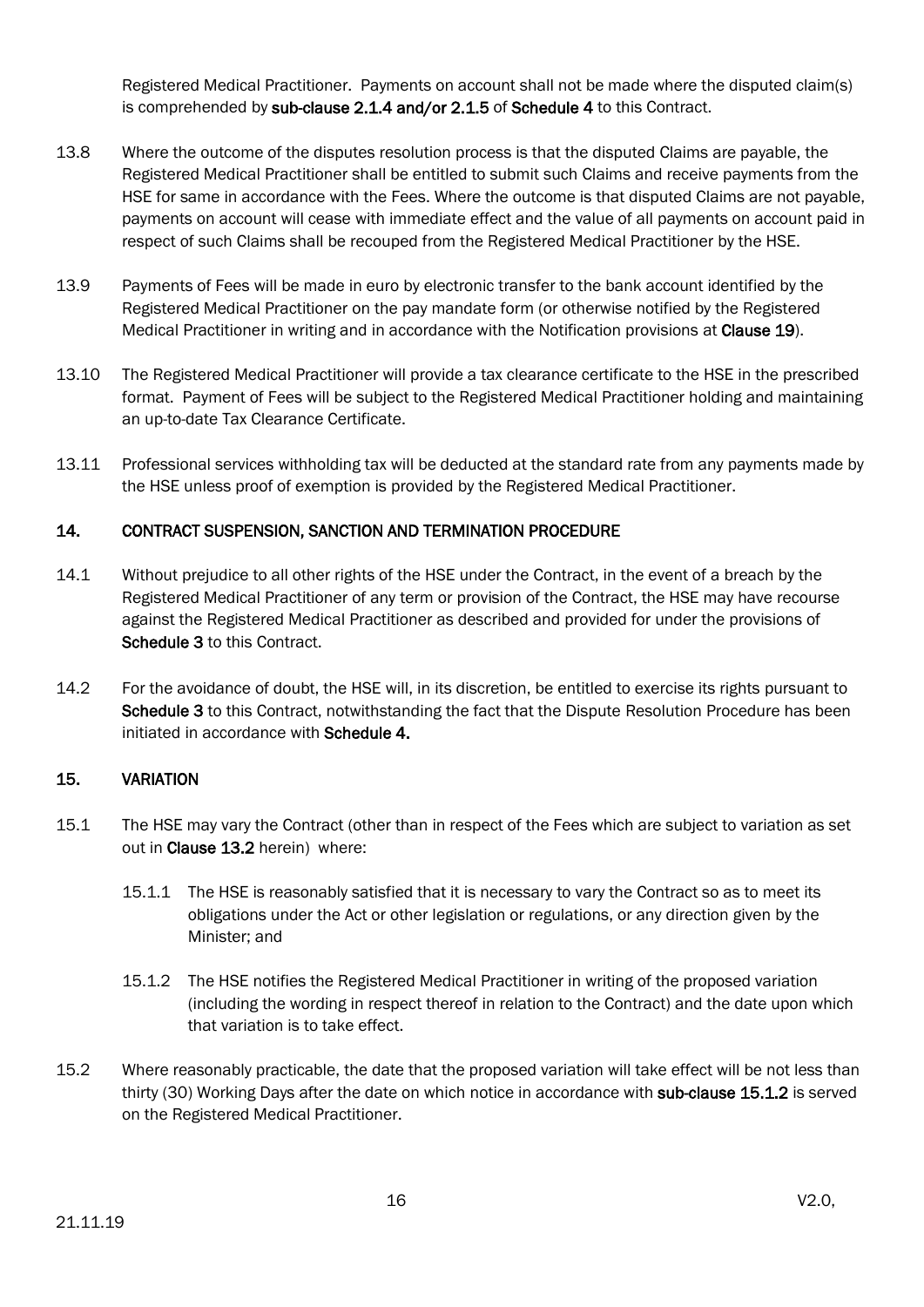Registered Medical Practitioner. Payments on account shall not be made where the disputed claim(s) is comprehended by sub-clause 2.1.4 and/or 2.1.5 of Schedule 4 to this Contract.

- 13.8 Where the outcome of the disputes resolution process is that the disputed Claims are payable, the Registered Medical Practitioner shall be entitled to submit such Claims and receive payments from the HSE for same in accordance with the Fees. Where the outcome is that disputed Claims are not payable, payments on account will cease with immediate effect and the value of all payments on account paid in respect of such Claims shall be recouped from the Registered Medical Practitioner by the HSE.
- 13.9 Payments of Fees will be made in euro by electronic transfer to the bank account identified by the Registered Medical Practitioner on the pay mandate form (or otherwise notified by the Registered Medical Practitioner in writing and in accordance with the Notification provisions at Clause 19).
- 13.10 The Registered Medical Practitioner will provide a tax clearance certificate to the HSE in the prescribed format. Payment of Fees will be subject to the Registered Medical Practitioner holding and maintaining an up-to-date Tax Clearance Certificate.
- 13.11 Professional services withholding tax will be deducted at the standard rate from any payments made by the HSE unless proof of exemption is provided by the Registered Medical Practitioner.

## <span id="page-15-0"></span>14. CONTRACT SUSPENSION, SANCTION AND TERMINATION PROCEDURE

- 14.1 Without prejudice to all other rights of the HSE under the Contract, in the event of a breach by the Registered Medical Practitioner of any term or provision of the Contract, the HSE may have recourse against the Registered Medical Practitioner as described and provided for under the provisions of Schedule 3 to this Contract.
- 14.2 For the avoidance of doubt, the HSE will, in its discretion, be entitled to exercise its rights pursuant to Schedule 3 to this Contract, notwithstanding the fact that the Dispute Resolution Procedure has been initiated in accordance with Schedule 4.

## <span id="page-15-1"></span>15. VARIATION

- 15.1 The HSE may vary the Contract (other than in respect of the Fees which are subject to variation as set out in Clause 13.2 herein) where:
	- 15.1.1 The HSE is reasonably satisfied that it is necessary to vary the Contract so as to meet its obligations under the Act or other legislation or regulations, or any direction given by the Minister; and
	- 15.1.2 The HSE notifies the Registered Medical Practitioner in writing of the proposed variation (including the wording in respect thereof in relation to the Contract) and the date upon which that variation is to take effect.
- 15.2 Where reasonably practicable, the date that the proposed variation will take effect will be not less than thirty (30) Working Days after the date on which notice in accordance with sub-clause 15.1.2 is served on the Registered Medical Practitioner.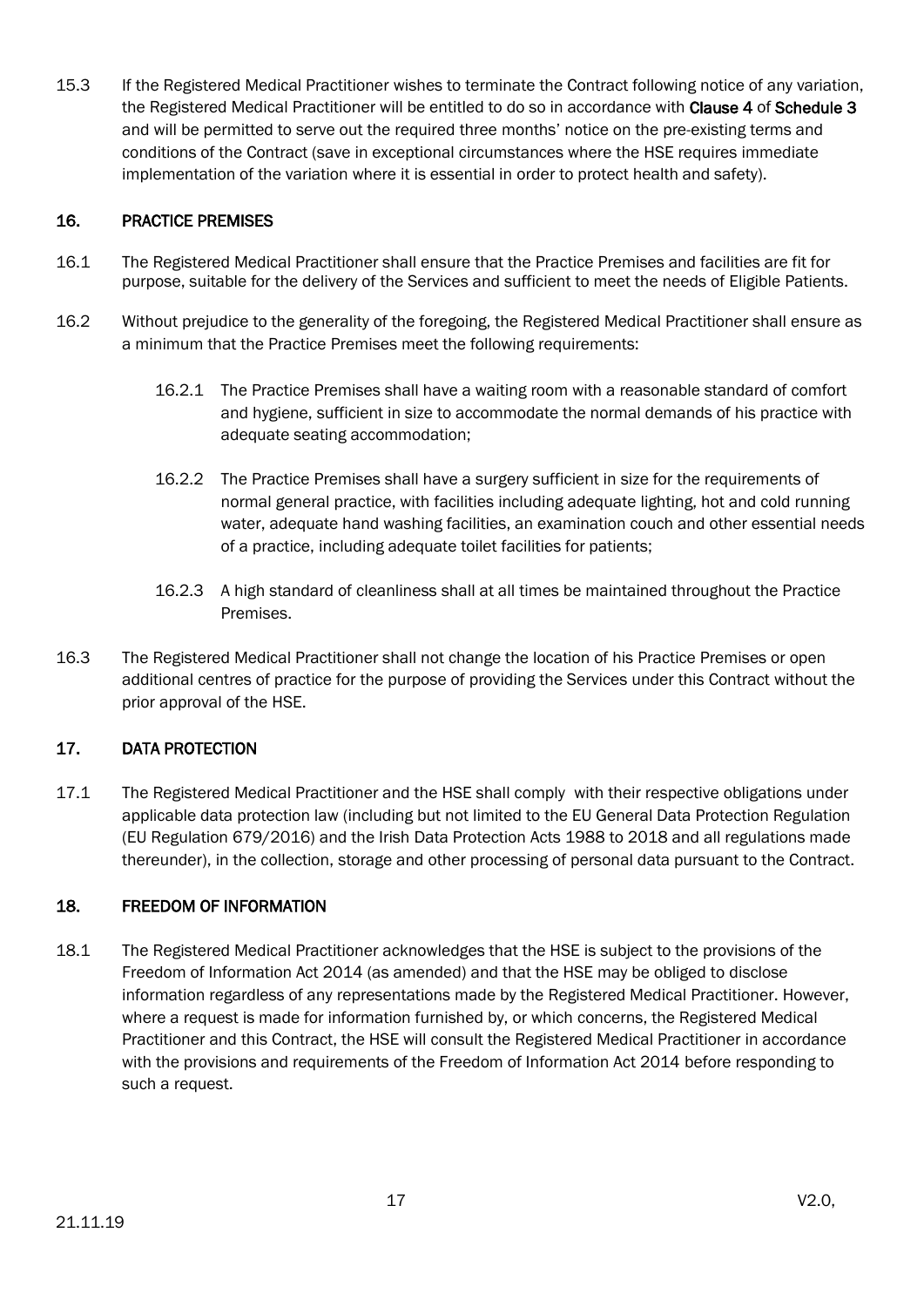15.3 If the Registered Medical Practitioner wishes to terminate the Contract following notice of any variation, the Registered Medical Practitioner will be entitled to do so in accordance with Clause 4 of Schedule 3 and will be permitted to serve out the required three months' notice on the pre-existing terms and conditions of the Contract (save in exceptional circumstances where the HSE requires immediate implementation of the variation where it is essential in order to protect health and safety).

## <span id="page-16-0"></span>16. PRACTICE PREMISES

- 16.1 The Registered Medical Practitioner shall ensure that the Practice Premises and facilities are fit for purpose, suitable for the delivery of the Services and sufficient to meet the needs of Eligible Patients.
- 16.2 Without prejudice to the generality of the foregoing, the Registered Medical Practitioner shall ensure as a minimum that the Practice Premises meet the following requirements:
	- 16.2.1 The Practice Premises shall have a waiting room with a reasonable standard of comfort and hygiene, sufficient in size to accommodate the normal demands of his practice with adequate seating accommodation;
	- 16.2.2 The Practice Premises shall have a surgery sufficient in size for the requirements of normal general practice, with facilities including adequate lighting, hot and cold running water, adequate hand washing facilities, an examination couch and other essential needs of a practice, including adequate toilet facilities for patients;
	- 16.2.3 A high standard of cleanliness shall at all times be maintained throughout the Practice Premises.
- 16.3 The Registered Medical Practitioner shall not change the location of his Practice Premises or open additional centres of practice for the purpose of providing the Services under this Contract without the prior approval of the HSE.

## <span id="page-16-1"></span>17. DATA PROTECTION

17.1 The Registered Medical Practitioner and the HSE shall comply with their respective obligations under applicable data protection law (including but not limited to the EU General Data Protection Regulation (EU Regulation 679/2016) and the Irish Data Protection Acts 1988 to 2018 and all regulations made thereunder), in the collection, storage and other processing of personal data pursuant to the Contract.

## <span id="page-16-2"></span>18. FREEDOM OF INFORMATION

18.1 The Registered Medical Practitioner acknowledges that the HSE is subject to the provisions of the Freedom of Information Act 2014 (as amended) and that the HSE may be obliged to disclose information regardless of any representations made by the Registered Medical Practitioner. However, where a request is made for information furnished by, or which concerns, the Registered Medical Practitioner and this Contract, the HSE will consult the Registered Medical Practitioner in accordance with the provisions and requirements of the Freedom of Information Act 2014 before responding to such a request.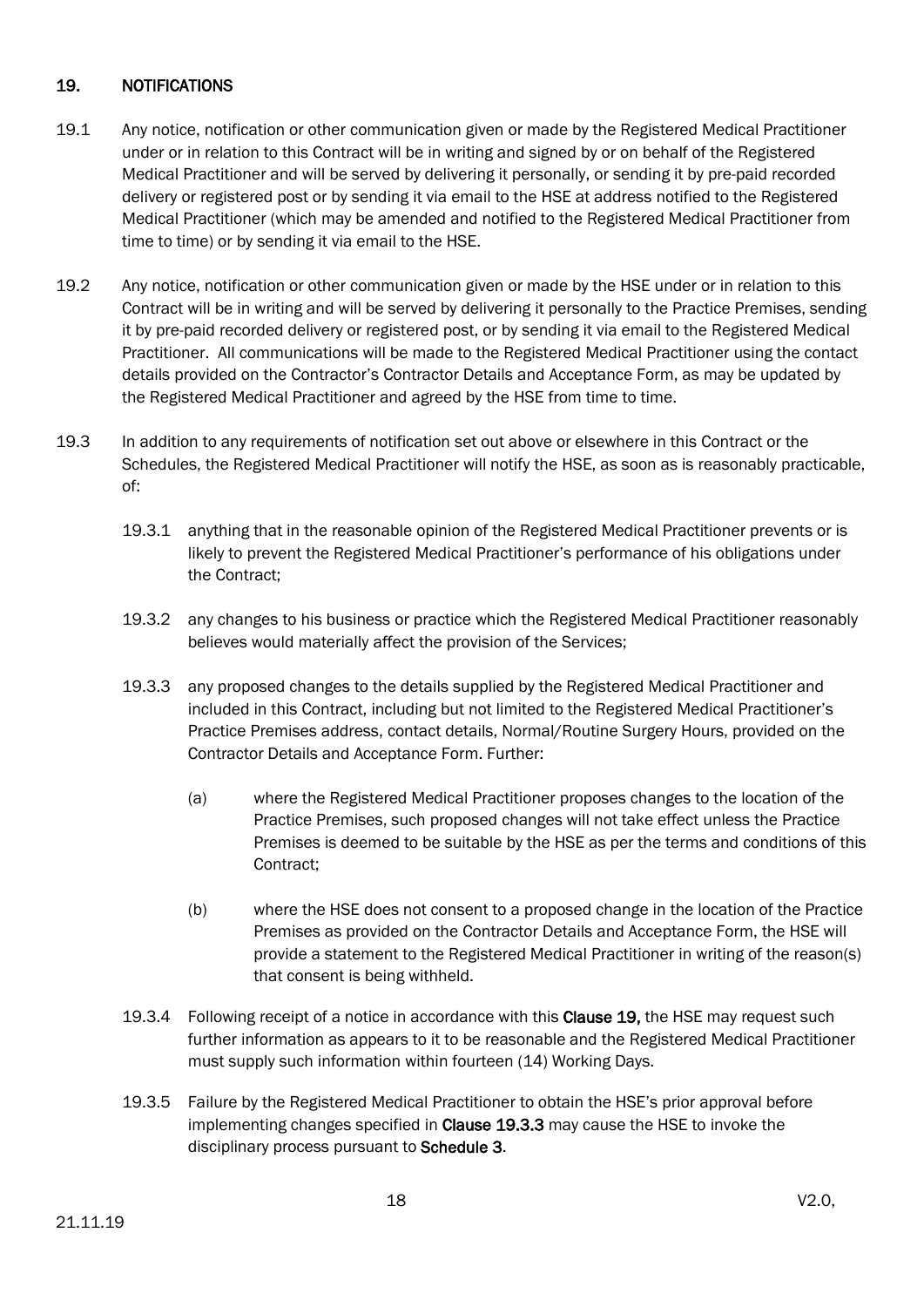## <span id="page-17-0"></span>19. NOTIFICATIONS

- 19.1 Any notice, notification or other communication given or made by the Registered Medical Practitioner under or in relation to this Contract will be in writing and signed by or on behalf of the Registered Medical Practitioner and will be served by delivering it personally, or sending it by pre-paid recorded delivery or registered post or by sending it via email to the HSE at address notified to the Registered Medical Practitioner (which may be amended and notified to the Registered Medical Practitioner from time to time) or by sending it via email to the HSE.
- 19.2 Any notice, notification or other communication given or made by the HSE under or in relation to this Contract will be in writing and will be served by delivering it personally to the Practice Premises, sending it by pre-paid recorded delivery or registered post, or by sending it via email to the Registered Medical Practitioner. All communications will be made to the Registered Medical Practitioner using the contact details provided on the Contractor's Contractor Details and Acceptance Form, as may be updated by the Registered Medical Practitioner and agreed by the HSE from time to time.
- 19.3 In addition to any requirements of notification set out above or elsewhere in this Contract or the Schedules, the Registered Medical Practitioner will notify the HSE, as soon as is reasonably practicable, of:
	- 19.3.1 anything that in the reasonable opinion of the Registered Medical Practitioner prevents or is likely to prevent the Registered Medical Practitioner's performance of his obligations under the Contract;
	- 19.3.2 any changes to his business or practice which the Registered Medical Practitioner reasonably believes would materially affect the provision of the Services;
	- 19.3.3 any proposed changes to the details supplied by the Registered Medical Practitioner and included in this Contract, including but not limited to the Registered Medical Practitioner's Practice Premises address, contact details, Normal/Routine Surgery Hours, provided on the Contractor Details and Acceptance Form. Further:
		- (a) where the Registered Medical Practitioner proposes changes to the location of the Practice Premises, such proposed changes will not take effect unless the Practice Premises is deemed to be suitable by the HSE as per the terms and conditions of this Contract;
		- (b) where the HSE does not consent to a proposed change in the location of the Practice Premises as provided on the Contractor Details and Acceptance Form, the HSE will provide a statement to the Registered Medical Practitioner in writing of the reason(s) that consent is being withheld.
	- 19.3.4 Following receipt of a notice in accordance with this Clause 19, the HSE may request such further information as appears to it to be reasonable and the Registered Medical Practitioner must supply such information within fourteen (14) Working Days.
	- 19.3.5 Failure by the Registered Medical Practitioner to obtain the HSE's prior approval before implementing changes specified in Clause 19.3.3 may cause the HSE to invoke the disciplinary process pursuant to Schedule 3.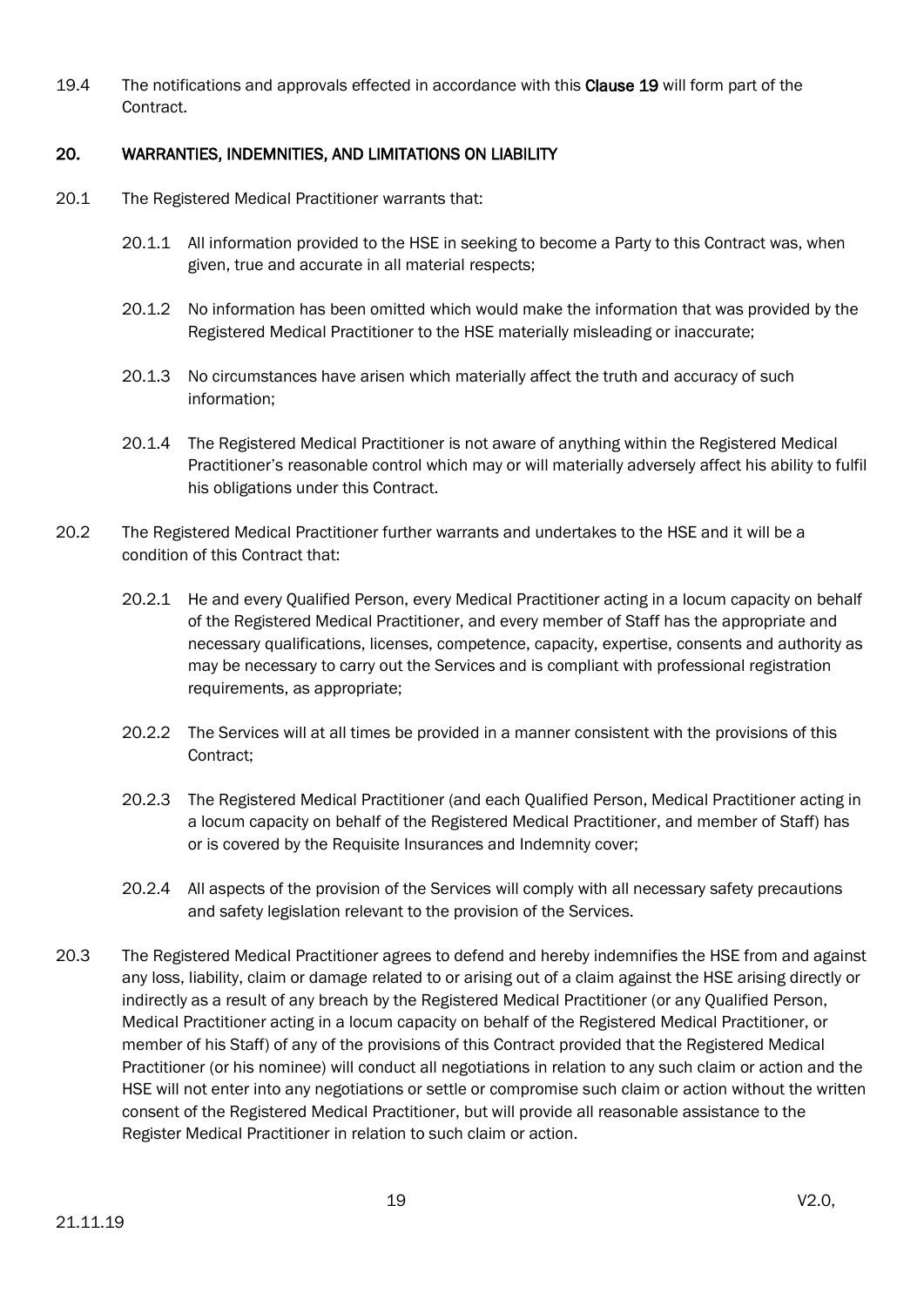19.4 The notifications and approvals effected in accordance with this Clause 19 will form part of the Contract.

## <span id="page-18-0"></span>20. WARRANTIES, INDEMNITIES, AND LIMITATIONS ON LIABILITY

- 20.1 The Registered Medical Practitioner warrants that:
	- 20.1.1 All information provided to the HSE in seeking to become a Party to this Contract was, when given, true and accurate in all material respects;
	- 20.1.2 No information has been omitted which would make the information that was provided by the Registered Medical Practitioner to the HSE materially misleading or inaccurate;
	- 20.1.3 No circumstances have arisen which materially affect the truth and accuracy of such information;
	- 20.1.4 The Registered Medical Practitioner is not aware of anything within the Registered Medical Practitioner's reasonable control which may or will materially adversely affect his ability to fulfil his obligations under this Contract.
- 20.2 The Registered Medical Practitioner further warrants and undertakes to the HSE and it will be a condition of this Contract that:
	- 20.2.1 He and every Qualified Person, every Medical Practitioner acting in a locum capacity on behalf of the Registered Medical Practitioner, and every member of Staff has the appropriate and necessary qualifications, licenses, competence, capacity, expertise, consents and authority as may be necessary to carry out the Services and is compliant with professional registration requirements, as appropriate;
	- 20.2.2 The Services will at all times be provided in a manner consistent with the provisions of this Contract;
	- 20.2.3 The Registered Medical Practitioner (and each Qualified Person, Medical Practitioner acting in a locum capacity on behalf of the Registered Medical Practitioner, and member of Staff) has or is covered by the Requisite Insurances and Indemnity cover;
	- 20.2.4 All aspects of the provision of the Services will comply with all necessary safety precautions and safety legislation relevant to the provision of the Services.
- 20.3 The Registered Medical Practitioner agrees to defend and hereby indemnifies the HSE from and against any loss, liability, claim or damage related to or arising out of a claim against the HSE arising directly or indirectly as a result of any breach by the Registered Medical Practitioner (or any Qualified Person, Medical Practitioner acting in a locum capacity on behalf of the Registered Medical Practitioner, or member of his Staff) of any of the provisions of this Contract provided that the Registered Medical Practitioner (or his nominee) will conduct all negotiations in relation to any such claim or action and the HSE will not enter into any negotiations or settle or compromise such claim or action without the written consent of the Registered Medical Practitioner, but will provide all reasonable assistance to the Register Medical Practitioner in relation to such claim or action.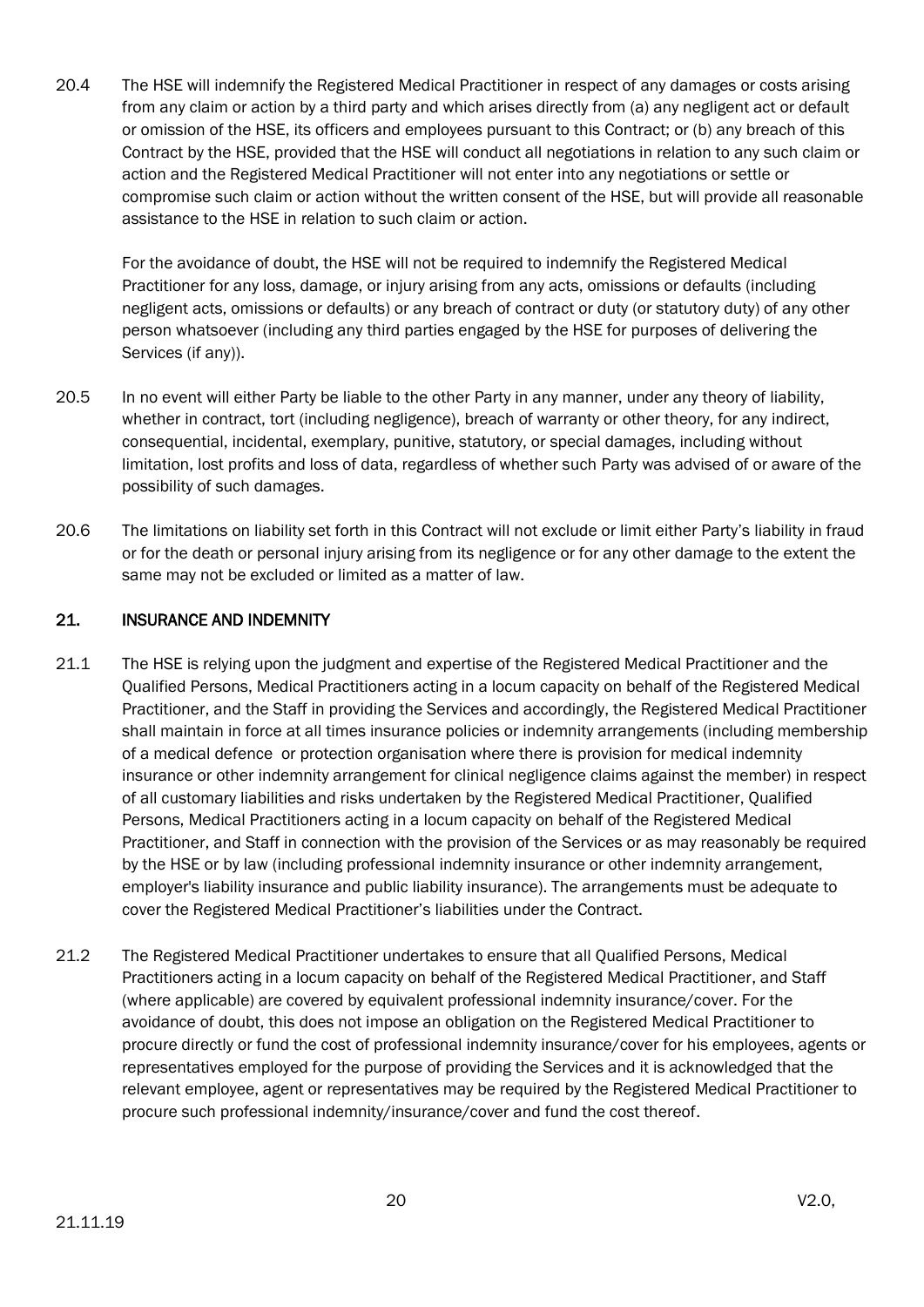20.4 The HSE will indemnify the Registered Medical Practitioner in respect of any damages or costs arising from any claim or action by a third party and which arises directly from (a) any negligent act or default or omission of the HSE, its officers and employees pursuant to this Contract; or (b) any breach of this Contract by the HSE, provided that the HSE will conduct all negotiations in relation to any such claim or action and the Registered Medical Practitioner will not enter into any negotiations or settle or compromise such claim or action without the written consent of the HSE, but will provide all reasonable assistance to the HSE in relation to such claim or action.

For the avoidance of doubt, the HSE will not be required to indemnify the Registered Medical Practitioner for any loss, damage, or injury arising from any acts, omissions or defaults (including negligent acts, omissions or defaults) or any breach of contract or duty (or statutory duty) of any other person whatsoever (including any third parties engaged by the HSE for purposes of delivering the Services (if any)).

- 20.5 In no event will either Party be liable to the other Party in any manner, under any theory of liability, whether in contract, tort (including negligence), breach of warranty or other theory, for any indirect, consequential, incidental, exemplary, punitive, statutory, or special damages, including without limitation, lost profits and loss of data, regardless of whether such Party was advised of or aware of the possibility of such damages.
- 20.6 The limitations on liability set forth in this Contract will not exclude or limit either Party's liability in fraud or for the death or personal injury arising from its negligence or for any other damage to the extent the same may not be excluded or limited as a matter of law.

## <span id="page-19-0"></span>21. INSURANCE AND INDEMNITY

- 21.1 The HSE is relying upon the judgment and expertise of the Registered Medical Practitioner and the Qualified Persons, Medical Practitioners acting in a locum capacity on behalf of the Registered Medical Practitioner, and the Staff in providing the Services and accordingly, the Registered Medical Practitioner shall maintain in force at all times insurance policies or indemnity arrangements (including membership of a medical defence or protection organisation where there is provision for medical indemnity insurance or other indemnity arrangement for clinical negligence claims against the member) in respect of all customary liabilities and risks undertaken by the Registered Medical Practitioner, Qualified Persons, Medical Practitioners acting in a locum capacity on behalf of the Registered Medical Practitioner, and Staff in connection with the provision of the Services or as may reasonably be required by the HSE or by law (including professional indemnity insurance or other indemnity arrangement, employer's liability insurance and public liability insurance). The arrangements must be adequate to cover the Registered Medical Practitioner's liabilities under the Contract.
- 21.2 The Registered Medical Practitioner undertakes to ensure that all Qualified Persons, Medical Practitioners acting in a locum capacity on behalf of the Registered Medical Practitioner, and Staff (where applicable) are covered by equivalent professional indemnity insurance/cover. For the avoidance of doubt, this does not impose an obligation on the Registered Medical Practitioner to procure directly or fund the cost of professional indemnity insurance/cover for his employees, agents or representatives employed for the purpose of providing the Services and it is acknowledged that the relevant employee, agent or representatives may be required by the Registered Medical Practitioner to procure such professional indemnity/insurance/cover and fund the cost thereof.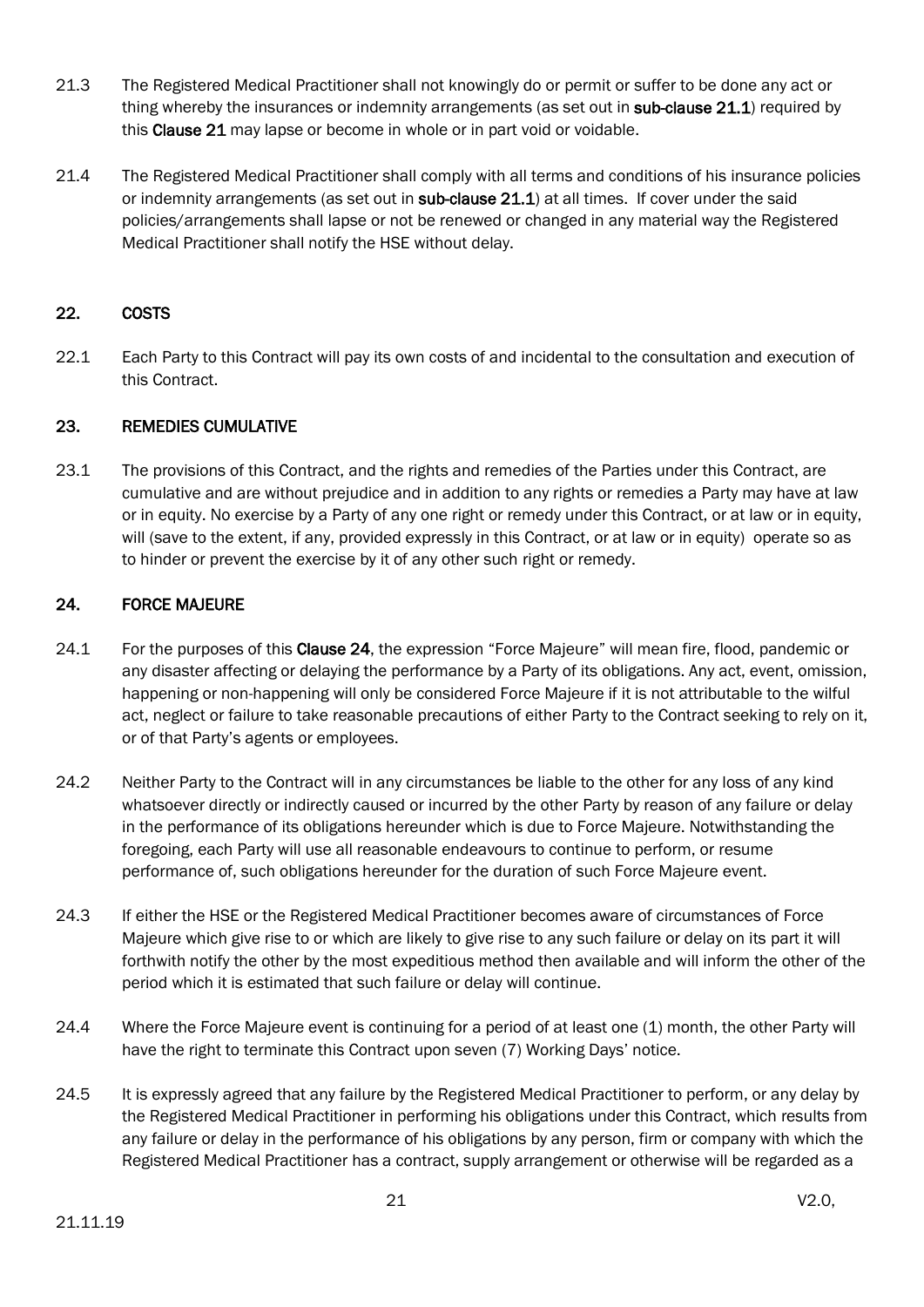- 21.3 The Registered Medical Practitioner shall not knowingly do or permit or suffer to be done any act or thing whereby the insurances or indemnity arrangements (as set out in sub-clause 21.1) required by this Clause 21 may lapse or become in whole or in part void or voidable.
- 21.4 The Registered Medical Practitioner shall comply with all terms and conditions of his insurance policies or indemnity arrangements (as set out in sub-clause 21.1) at all times. If cover under the said policies/arrangements shall lapse or not be renewed or changed in any material way the Registered Medical Practitioner shall notify the HSE without delay.

## <span id="page-20-0"></span>22. COSTS

22.1 Each Party to this Contract will pay its own costs of and incidental to the consultation and execution of this Contract.

## <span id="page-20-1"></span>23. REMEDIES CUMULATIVE

23.1 The provisions of this Contract, and the rights and remedies of the Parties under this Contract, are cumulative and are without prejudice and in addition to any rights or remedies a Party may have at law or in equity. No exercise by a Party of any one right or remedy under this Contract, or at law or in equity, will (save to the extent, if any, provided expressly in this Contract, or at law or in equity) operate so as to hinder or prevent the exercise by it of any other such right or remedy.

## <span id="page-20-2"></span>24. FORCE MAJEURE

- 24.1 For the purposes of this Clause 24, the expression "Force Majeure" will mean fire, flood, pandemic or any disaster affecting or delaying the performance by a Party of its obligations. Any act, event, omission, happening or non-happening will only be considered Force Majeure if it is not attributable to the wilful act, neglect or failure to take reasonable precautions of either Party to the Contract seeking to rely on it, or of that Party's agents or employees.
- 24.2 Neither Party to the Contract will in any circumstances be liable to the other for any loss of any kind whatsoever directly or indirectly caused or incurred by the other Party by reason of any failure or delay in the performance of its obligations hereunder which is due to Force Majeure. Notwithstanding the foregoing, each Party will use all reasonable endeavours to continue to perform, or resume performance of, such obligations hereunder for the duration of such Force Majeure event.
- 24.3 If either the HSE or the Registered Medical Practitioner becomes aware of circumstances of Force Majeure which give rise to or which are likely to give rise to any such failure or delay on its part it will forthwith notify the other by the most expeditious method then available and will inform the other of the period which it is estimated that such failure or delay will continue.
- 24.4 Where the Force Majeure event is continuing for a period of at least one (1) month, the other Party will have the right to terminate this Contract upon seven (7) Working Days' notice.
- 24.5 It is expressly agreed that any failure by the Registered Medical Practitioner to perform, or any delay by the Registered Medical Practitioner in performing his obligations under this Contract, which results from any failure or delay in the performance of his obligations by any person, firm or company with which the Registered Medical Practitioner has a contract, supply arrangement or otherwise will be regarded as a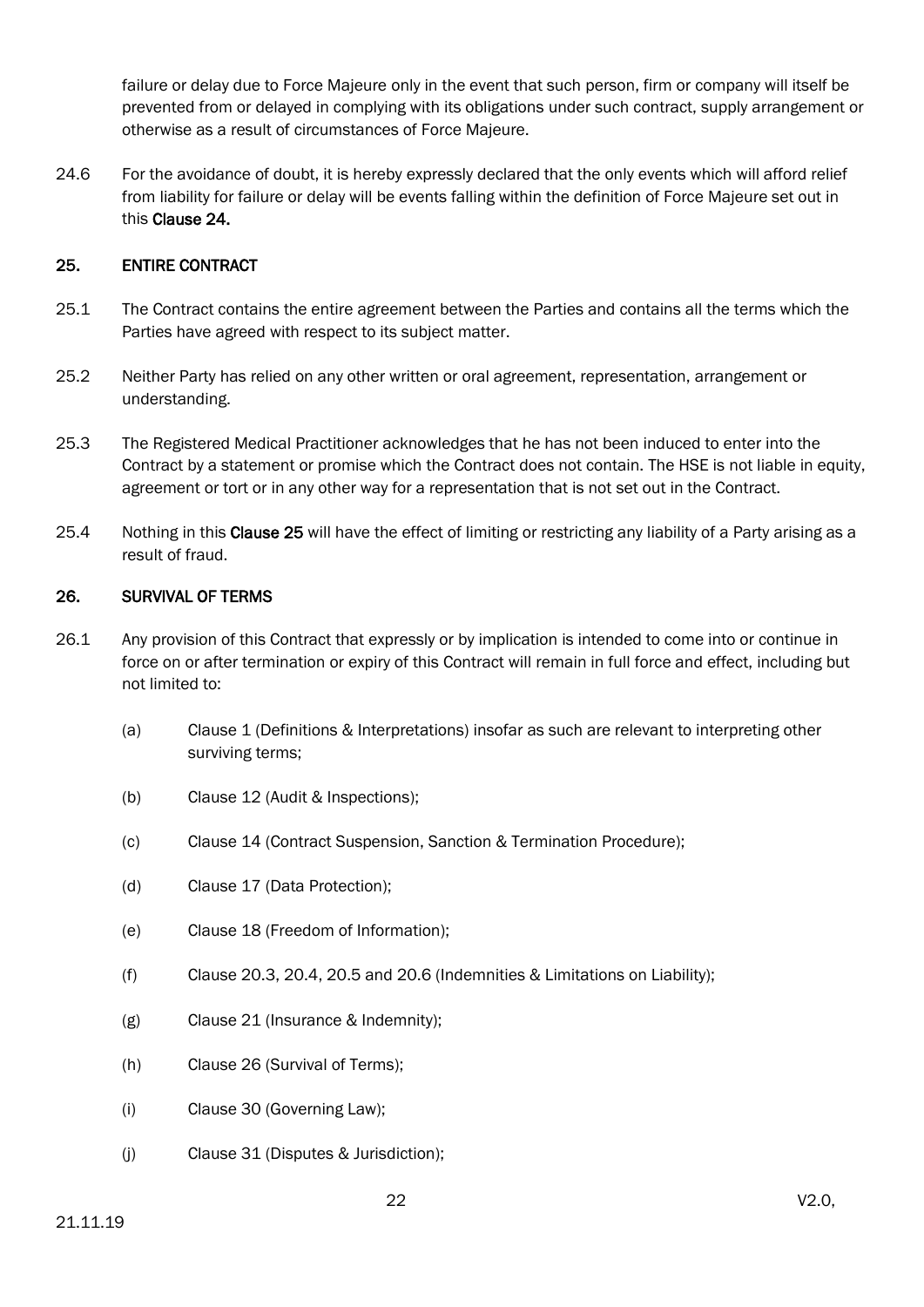failure or delay due to Force Majeure only in the event that such person, firm or company will itself be prevented from or delayed in complying with its obligations under such contract, supply arrangement or otherwise as a result of circumstances of Force Majeure.

24.6 For the avoidance of doubt, it is hereby expressly declared that the only events which will afford relief from liability for failure or delay will be events falling within the definition of Force Majeure set out in this Clause 24.

## <span id="page-21-0"></span>25. ENTIRE CONTRACT

- 25.1 The Contract contains the entire agreement between the Parties and contains all the terms which the Parties have agreed with respect to its subject matter.
- 25.2 Neither Party has relied on any other written or oral agreement, representation, arrangement or understanding.
- 25.3 The Registered Medical Practitioner acknowledges that he has not been induced to enter into the Contract by a statement or promise which the Contract does not contain. The HSE is not liable in equity, agreement or tort or in any other way for a representation that is not set out in the Contract.
- 25.4 Nothing in this Clause 25 will have the effect of limiting or restricting any liability of a Party arising as a result of fraud.

#### <span id="page-21-1"></span>26. SURVIVAL OF TERMS

- 26.1 Any provision of this Contract that expressly or by implication is intended to come into or continue in force on or after termination or expiry of this Contract will remain in full force and effect, including but not limited to:
	- (a) Clause 1 (Definitions & Interpretations) insofar as such are relevant to interpreting other surviving terms;
	- (b) Clause 12 (Audit & Inspections);
	- (c) Clause 14 (Contract Suspension, Sanction & Termination Procedure);
	- (d) Clause 17 (Data Protection);
	- (e) Clause 18 (Freedom of Information);
	- (f) Clause 20.3, 20.4, 20.5 and 20.6 (Indemnities & Limitations on Liability);
	- (g) Clause 21 (Insurance & Indemnity);
	- (h) Clause 26 (Survival of Terms);
	- (i) Clause 30 (Governing Law);
	- (j) Clause 31 (Disputes & Jurisdiction);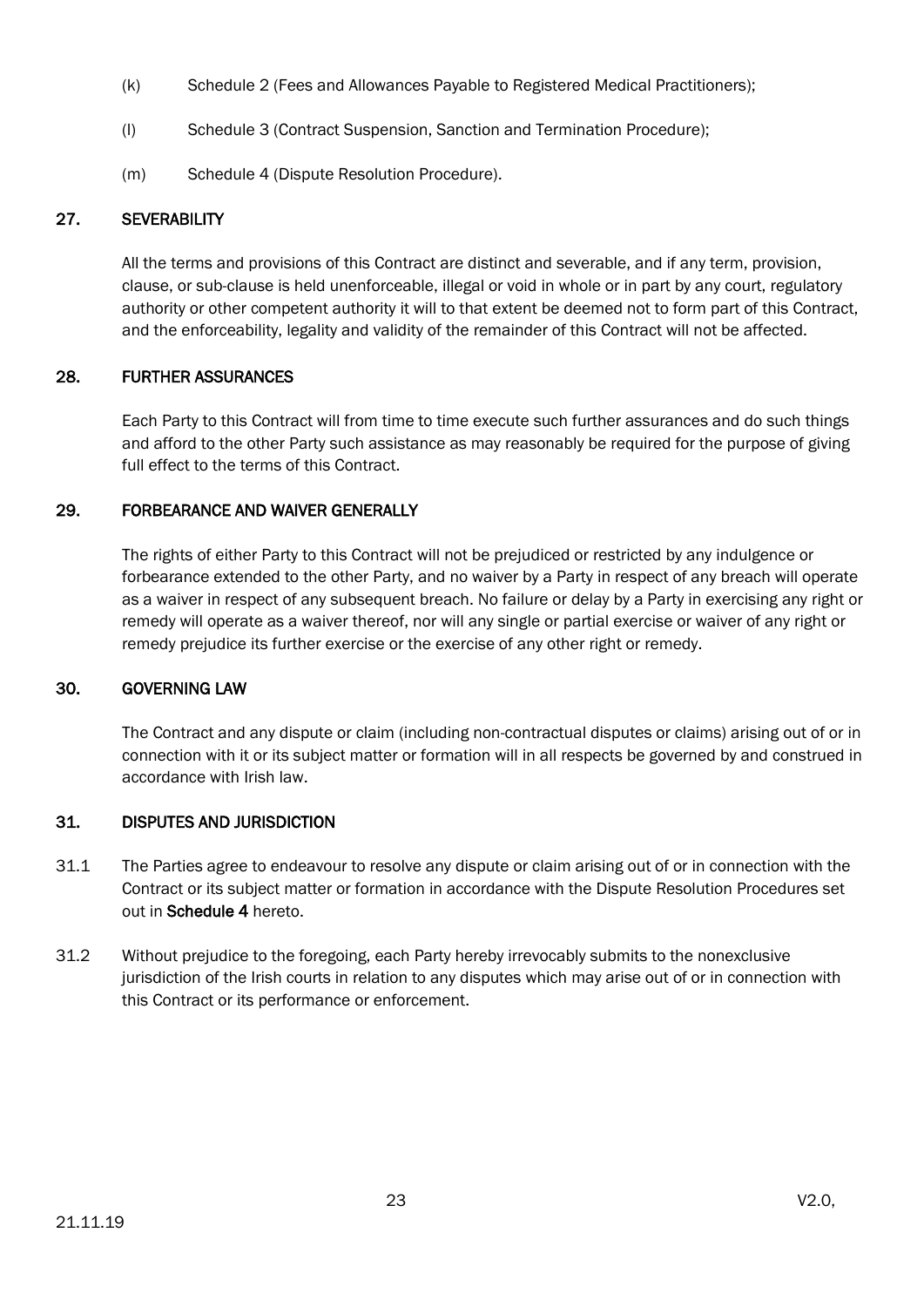- (k) Schedule 2 (Fees and Allowances Payable to Registered Medical Practitioners);
- (l) Schedule 3 (Contract Suspension, Sanction and Termination Procedure);
- (m) Schedule 4 (Dispute Resolution Procedure).

## <span id="page-22-0"></span>27. SEVERABILITY

All the terms and provisions of this Contract are distinct and severable, and if any term, provision, clause, or sub-clause is held unenforceable, illegal or void in whole or in part by any court, regulatory authority or other competent authority it will to that extent be deemed not to form part of this Contract, and the enforceability, legality and validity of the remainder of this Contract will not be affected.

## <span id="page-22-1"></span>28. FURTHER ASSURANCES

Each Party to this Contract will from time to time execute such further assurances and do such things and afford to the other Party such assistance as may reasonably be required for the purpose of giving full effect to the terms of this Contract.

## <span id="page-22-2"></span>29. FORBEARANCE AND WAIVER GENERALLY

The rights of either Party to this Contract will not be prejudiced or restricted by any indulgence or forbearance extended to the other Party, and no waiver by a Party in respect of any breach will operate as a waiver in respect of any subsequent breach. No failure or delay by a Party in exercising any right or remedy will operate as a waiver thereof, nor will any single or partial exercise or waiver of any right or remedy prejudice its further exercise or the exercise of any other right or remedy.

## <span id="page-22-3"></span>30. GOVERNING LAW

The Contract and any dispute or claim (including non-contractual disputes or claims) arising out of or in connection with it or its subject matter or formation will in all respects be governed by and construed in accordance with Irish law.

## <span id="page-22-4"></span>31. DISPUTES AND JURISDICTION

- 31.1 The Parties agree to endeavour to resolve any dispute or claim arising out of or in connection with the Contract or its subject matter or formation in accordance with the Dispute Resolution Procedures set out in Schedule 4 hereto.
- 31.2 Without prejudice to the foregoing, each Party hereby irrevocably submits to the nonexclusive jurisdiction of the Irish courts in relation to any disputes which may arise out of or in connection with this Contract or its performance or enforcement.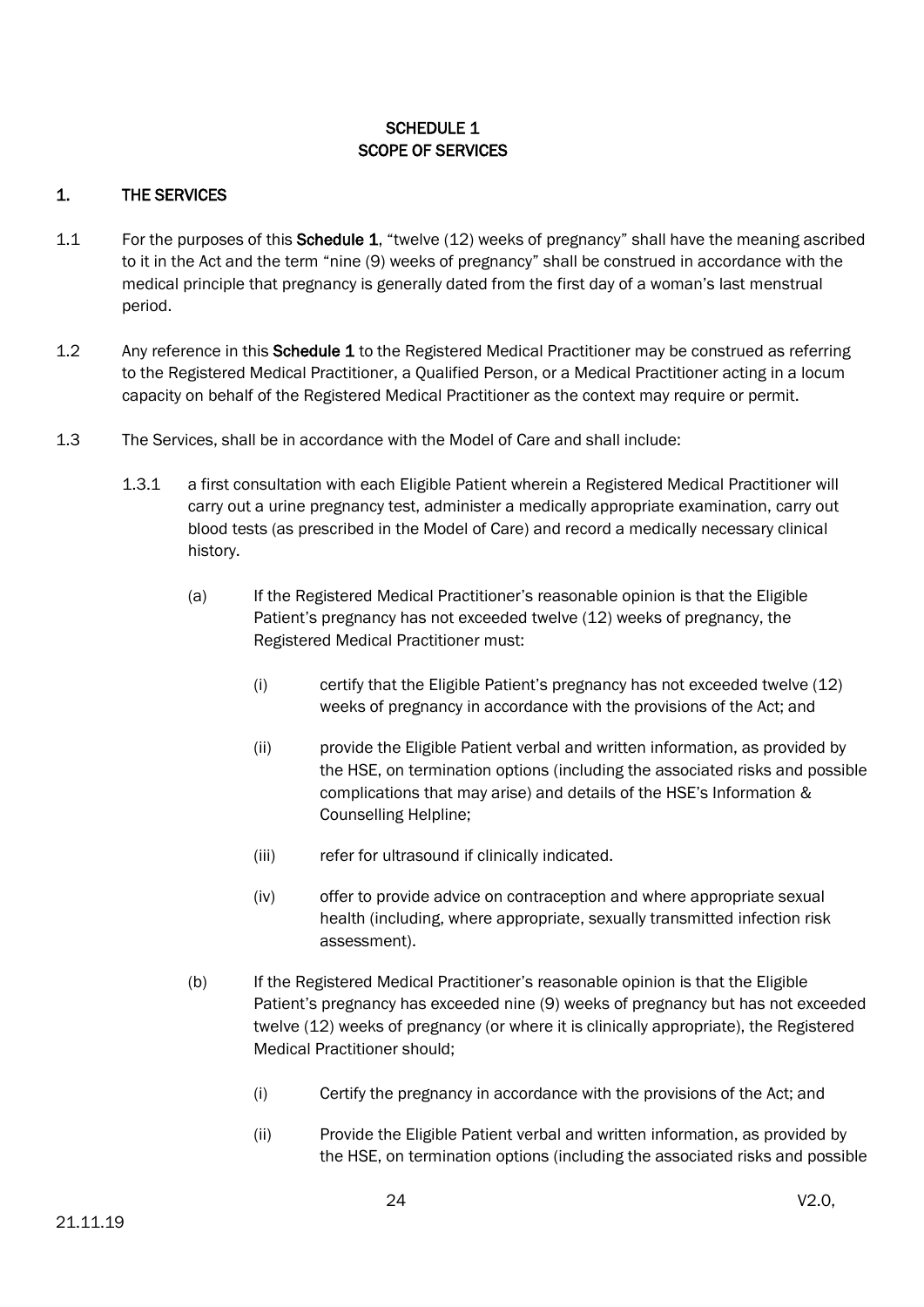## SCHEDULE 1 SCOPE OF SERVICES

## <span id="page-23-1"></span><span id="page-23-0"></span>1. THE SERVICES

- 1.1 For the purposes of this Schedule 1, "twelve (12) weeks of pregnancy" shall have the meaning ascribed to it in the Act and the term "nine (9) weeks of pregnancy" shall be construed in accordance with the medical principle that pregnancy is generally dated from the first day of a woman's last menstrual period.
- 1.2 Any reference in this **Schedule 1** to the Registered Medical Practitioner may be construed as referring to the Registered Medical Practitioner, a Qualified Person, or a Medical Practitioner acting in a locum capacity on behalf of the Registered Medical Practitioner as the context may require or permit.
- 1.3 The Services, shall be in accordance with the Model of Care and shall include:
	- 1.3.1 a first consultation with each Eligible Patient wherein a Registered Medical Practitioner will carry out a urine pregnancy test, administer a medically appropriate examination, carry out blood tests (as prescribed in the Model of Care) and record a medically necessary clinical history.
		- (a) If the Registered Medical Practitioner's reasonable opinion is that the Eligible Patient's pregnancy has not exceeded twelve (12) weeks of pregnancy, the Registered Medical Practitioner must:
			- (i) certify that the Eligible Patient's pregnancy has not exceeded twelve (12) weeks of pregnancy in accordance with the provisions of the Act; and
			- (ii) provide the Eligible Patient verbal and written information, as provided by the HSE, on termination options (including the associated risks and possible complications that may arise) and details of the HSE's Information & Counselling Helpline;
			- (iii) refer for ultrasound if clinically indicated.
			- (iv) offer to provide advice on contraception and where appropriate sexual health (including, where appropriate, sexually transmitted infection risk assessment).
		- (b) If the Registered Medical Practitioner's reasonable opinion is that the Eligible Patient's pregnancy has exceeded nine (9) weeks of pregnancy but has not exceeded twelve (12) weeks of pregnancy (or where it is clinically appropriate), the Registered Medical Practitioner should;
			- (i) Certify the pregnancy in accordance with the provisions of the Act; and
			- (ii) Provide the Eligible Patient verbal and written information, as provided by the HSE, on termination options (including the associated risks and possible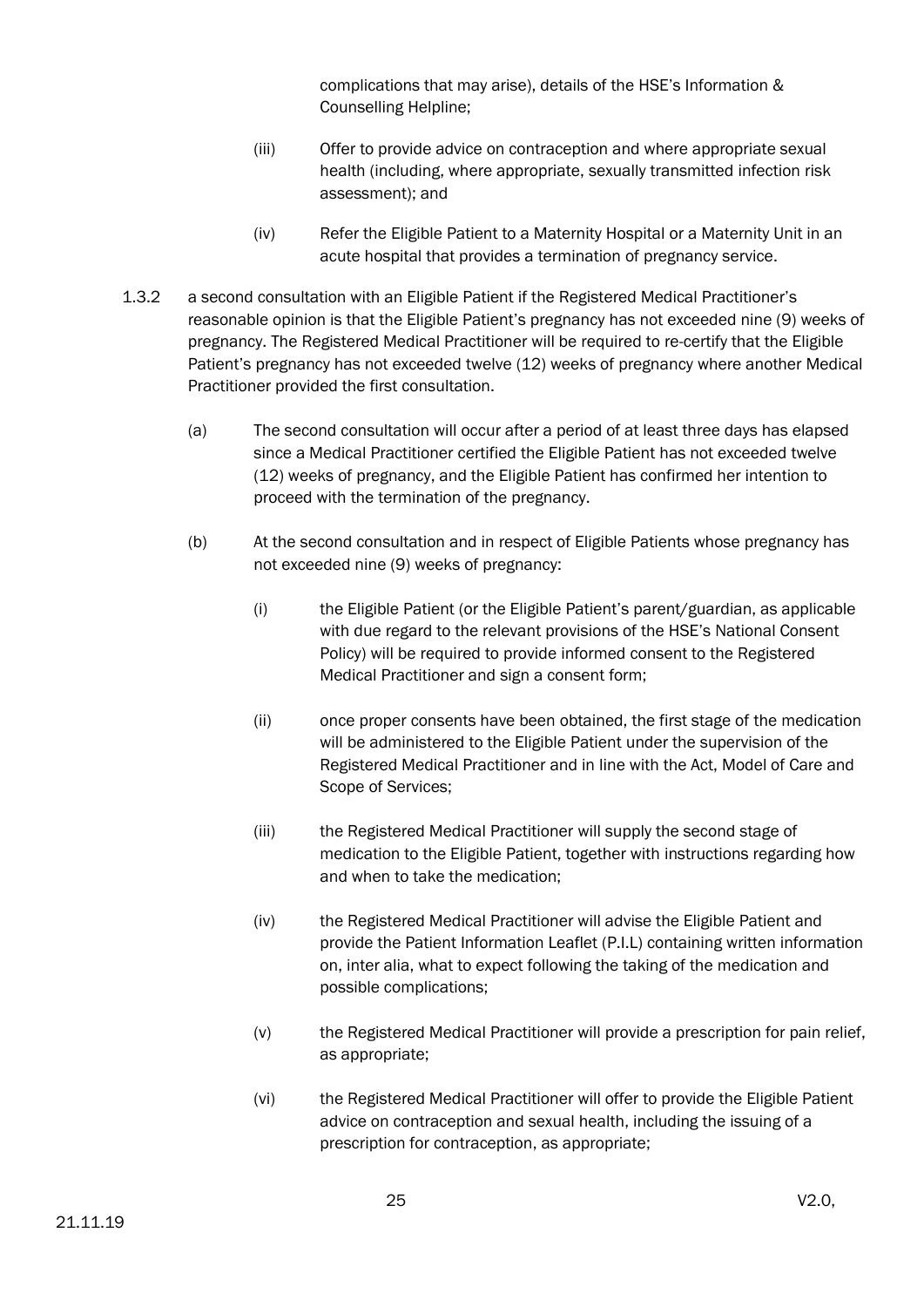complications that may arise), details of the HSE's Information & Counselling Helpline;

- (iii) Offer to provide advice on contraception and where appropriate sexual health (including, where appropriate, sexually transmitted infection risk assessment); and
- (iv) Refer the Eligible Patient to a Maternity Hospital or a Maternity Unit in an acute hospital that provides a termination of pregnancy service.
- 1.3.2 a second consultation with an Eligible Patient if the Registered Medical Practitioner's reasonable opinion is that the Eligible Patient's pregnancy has not exceeded nine (9) weeks of pregnancy. The Registered Medical Practitioner will be required to re-certify that the Eligible Patient's pregnancy has not exceeded twelve (12) weeks of pregnancy where another Medical Practitioner provided the first consultation.
	- (a) The second consultation will occur after a period of at least three days has elapsed since a Medical Practitioner certified the Eligible Patient has not exceeded twelve (12) weeks of pregnancy, and the Eligible Patient has confirmed her intention to proceed with the termination of the pregnancy.
	- (b) At the second consultation and in respect of Eligible Patients whose pregnancy has not exceeded nine (9) weeks of pregnancy:
		- (i) the Eligible Patient (or the Eligible Patient's parent/guardian, as applicable with due regard to the relevant provisions of the HSE's National Consent Policy) will be required to provide informed consent to the Registered Medical Practitioner and sign a consent form;
		- (ii) once proper consents have been obtained, the first stage of the medication will be administered to the Eligible Patient under the supervision of the Registered Medical Practitioner and in line with the Act, Model of Care and Scope of Services;
		- (iii) the Registered Medical Practitioner will supply the second stage of medication to the Eligible Patient, together with instructions regarding how and when to take the medication;
		- (iv) the Registered Medical Practitioner will advise the Eligible Patient and provide the Patient Information Leaflet (P.I.L) containing written information on, inter alia, what to expect following the taking of the medication and possible complications;
		- (v) the Registered Medical Practitioner will provide a prescription for pain relief, as appropriate;
		- (vi) the Registered Medical Practitioner will offer to provide the Eligible Patient advice on contraception and sexual health, including the issuing of a prescription for contraception, as appropriate;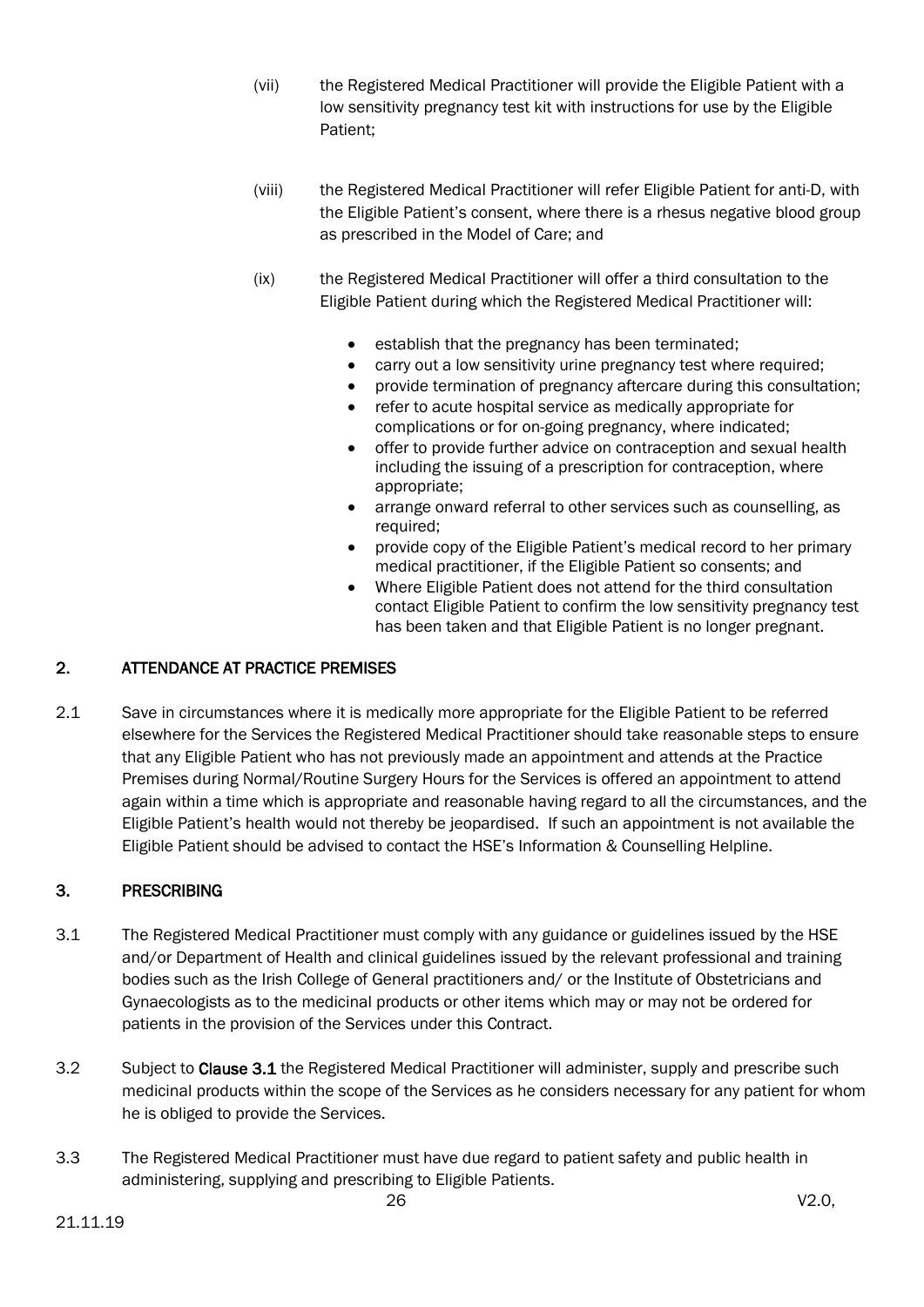- (vii) the Registered Medical Practitioner will provide the Eligible Patient with a low sensitivity pregnancy test kit with instructions for use by the Eligible Patient;
- (viii) the Registered Medical Practitioner will refer Eligible Patient for anti-D, with the Eligible Patient's consent, where there is a rhesus negative blood group as prescribed in the Model of Care; and
- (ix) the Registered Medical Practitioner will offer a third consultation to the Eligible Patient during which the Registered Medical Practitioner will:
	- establish that the pregnancy has been terminated;
	- carry out a low sensitivity urine pregnancy test where required;
	- provide termination of pregnancy aftercare during this consultation;
	- refer to acute hospital service as medically appropriate for complications or for on-going pregnancy, where indicated;
	- offer to provide further advice on contraception and sexual health including the issuing of a prescription for contraception, where appropriate;
	- arrange onward referral to other services such as counselling, as required;
	- provide copy of the Eligible Patient's medical record to her primary medical practitioner, if the Eligible Patient so consents; and
	- Where Eligible Patient does not attend for the third consultation contact Eligible Patient to confirm the low sensitivity pregnancy test has been taken and that Eligible Patient is no longer pregnant.

## <span id="page-25-0"></span>2. ATTENDANCE AT PRACTICE PREMISES

2.1 Save in circumstances where it is medically more appropriate for the Eligible Patient to be referred elsewhere for the Services the Registered Medical Practitioner should take reasonable steps to ensure that any Eligible Patient who has not previously made an appointment and attends at the Practice Premises during Normal/Routine Surgery Hours for the Services is offered an appointment to attend again within a time which is appropriate and reasonable having regard to all the circumstances, and the Eligible Patient's health would not thereby be jeopardised. If such an appointment is not available the Eligible Patient should be advised to contact the HSE's Information & Counselling Helpline.

## <span id="page-25-1"></span>3. PRESCRIBING

- 3.1 The Registered Medical Practitioner must comply with any guidance or guidelines issued by the HSE and/or Department of Health and clinical guidelines issued by the relevant professional and training bodies such as the Irish College of General practitioners and/ or the Institute of Obstetricians and Gynaecologists as to the medicinal products or other items which may or may not be ordered for patients in the provision of the Services under this Contract.
- 3.2 Subject to Clause 3.1 the Registered Medical Practitioner will administer, supply and prescribe such medicinal products within the scope of the Services as he considers necessary for any patient for whom he is obliged to provide the Services.
- 3.3 The Registered Medical Practitioner must have due regard to patient safety and public health in administering, supplying and prescribing to Eligible Patients.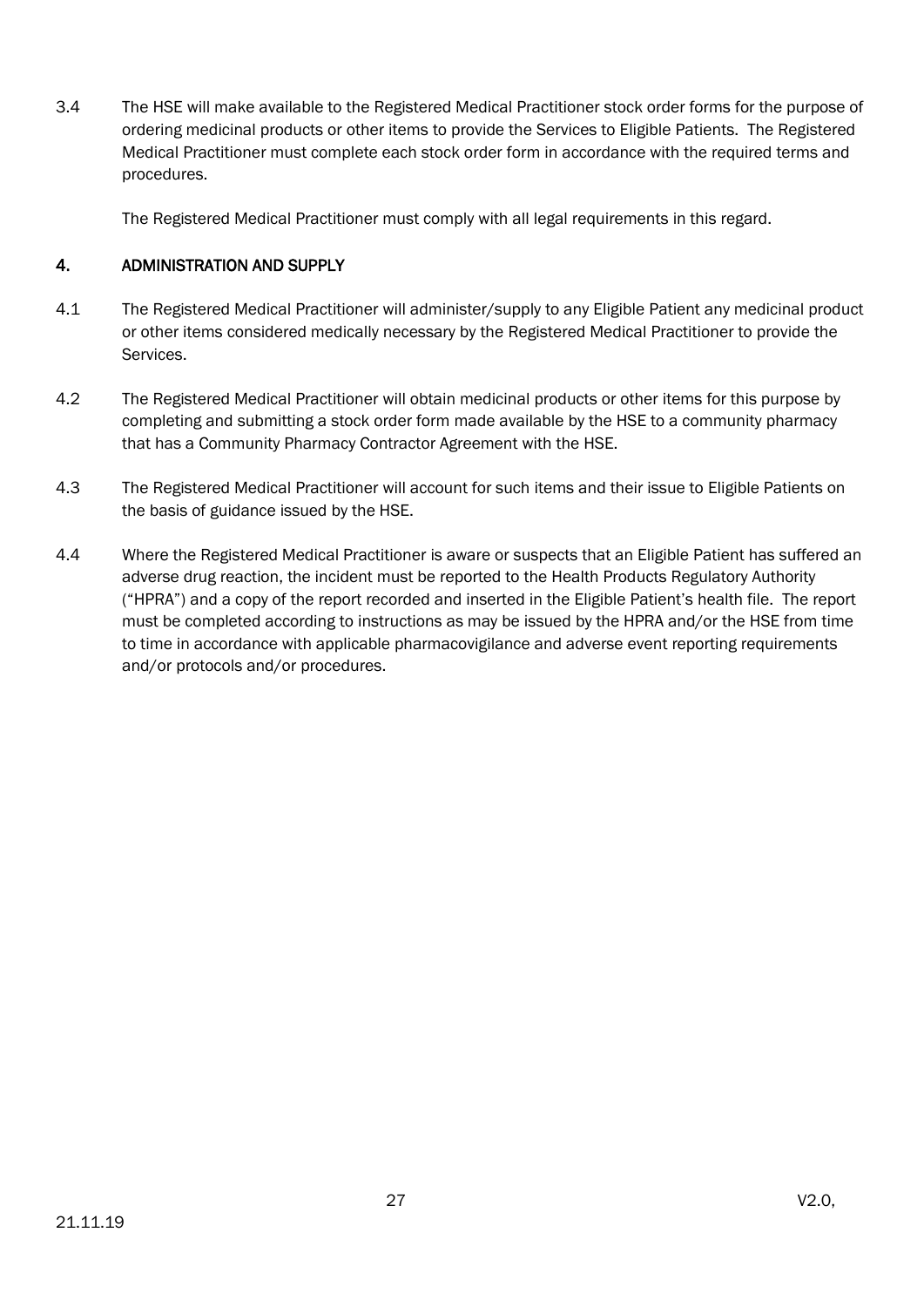3.4 The HSE will make available to the Registered Medical Practitioner stock order forms for the purpose of ordering medicinal products or other items to provide the Services to Eligible Patients. The Registered Medical Practitioner must complete each stock order form in accordance with the required terms and procedures.

The Registered Medical Practitioner must comply with all legal requirements in this regard.

## <span id="page-26-0"></span>4. ADMINISTRATION AND SUPPLY

- 4.1 The Registered Medical Practitioner will administer/supply to any Eligible Patient any medicinal product or other items considered medically necessary by the Registered Medical Practitioner to provide the Services.
- 4.2 The Registered Medical Practitioner will obtain medicinal products or other items for this purpose by completing and submitting a stock order form made available by the HSE to a community pharmacy that has a Community Pharmacy Contractor Agreement with the HSE.
- 4.3 The Registered Medical Practitioner will account for such items and their issue to Eligible Patients on the basis of guidance issued by the HSE.
- 4.4 Where the Registered Medical Practitioner is aware or suspects that an Eligible Patient has suffered an adverse drug reaction, the incident must be reported to the Health Products Regulatory Authority ("HPRA") and a copy of the report recorded and inserted in the Eligible Patient's health file. The report must be completed according to instructions as may be issued by the HPRA and/or the HSE from time to time in accordance with applicable pharmacovigilance and adverse event reporting requirements and/or protocols and/or procedures.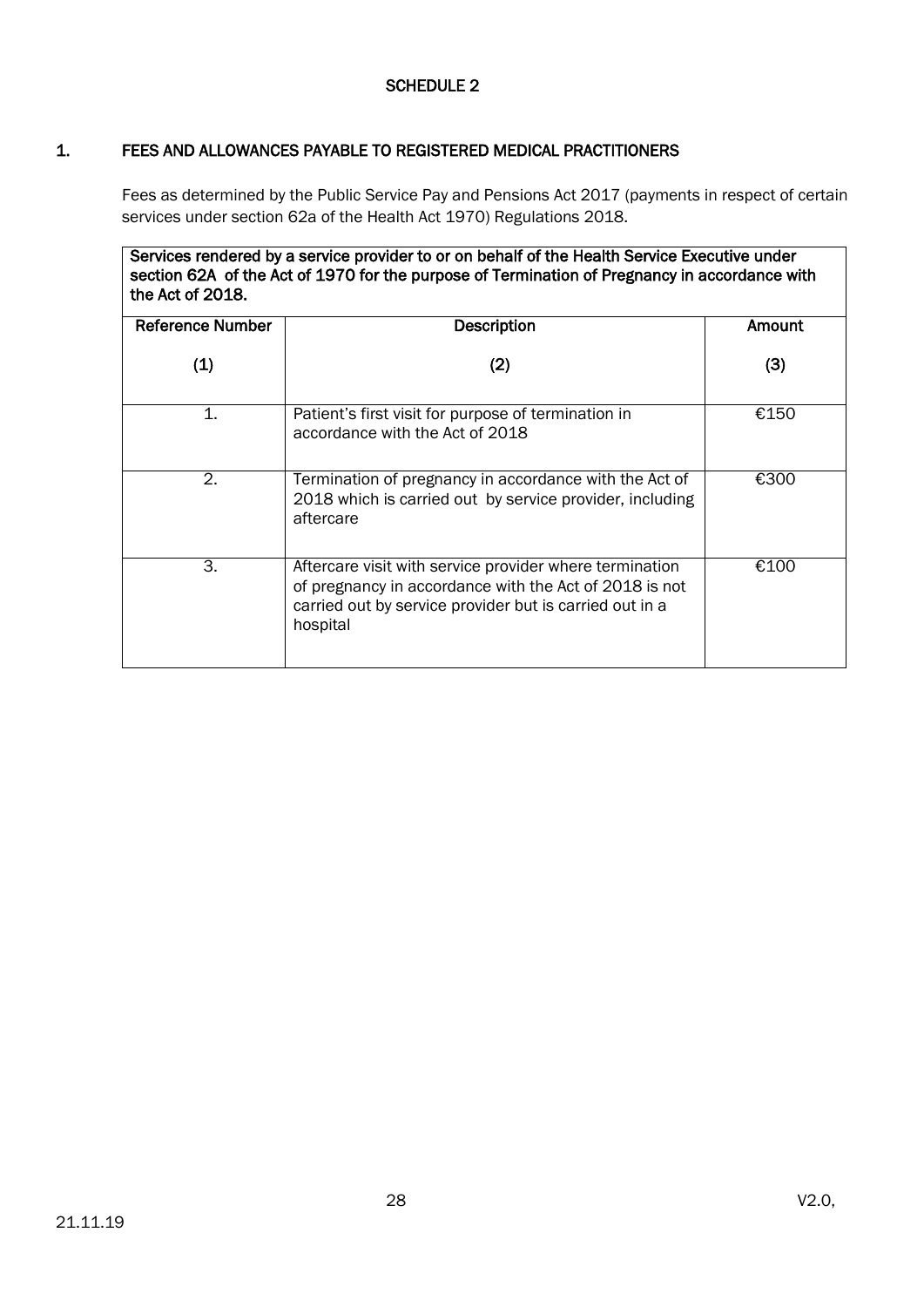## SCHEDULE 2

## <span id="page-27-1"></span><span id="page-27-0"></span>1. FEES AND ALLOWANCES PAYABLE TO REGISTERED MEDICAL PRACTITIONERS

Fees as determined by the Public Service Pay and Pensions Act 2017 (payments in respect of certain services under section 62a of the Health Act 1970) Regulations 2018.

#### Services rendered by a service provider to or on behalf of the Health Service Executive under section 62A of the Act of 1970 for the purpose of Termination of Pregnancy in accordance with the Act of 2018.

| Reference Number | <b>Description</b>                                                                                                                                                                       | Amount |  |  |
|------------------|------------------------------------------------------------------------------------------------------------------------------------------------------------------------------------------|--------|--|--|
| (1)              | (2)                                                                                                                                                                                      | (3)    |  |  |
| 1.               | Patient's first visit for purpose of termination in<br>accordance with the Act of 2018                                                                                                   | €150   |  |  |
| 2.               | Termination of pregnancy in accordance with the Act of<br>2018 which is carried out by service provider, including<br>aftercare                                                          | €300   |  |  |
| З.               | Aftercare visit with service provider where termination<br>of pregnancy in accordance with the Act of 2018 is not<br>carried out by service provider but is carried out in a<br>hospital | €100   |  |  |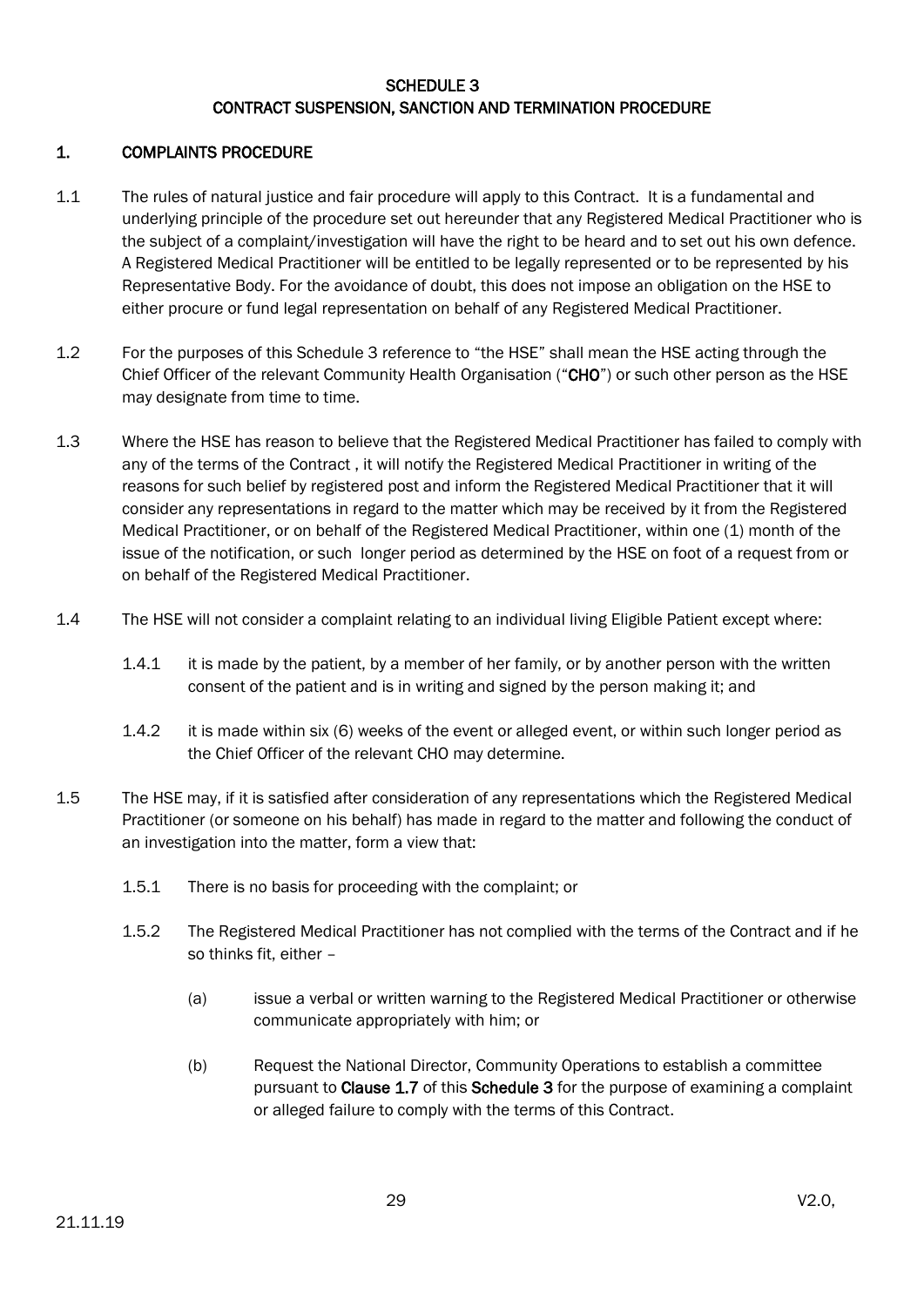## SCHEDULE 3 CONTRACT SUSPENSION, SANCTION AND TERMINATION PROCEDURE

## <span id="page-28-1"></span><span id="page-28-0"></span>1. COMPLAINTS PROCEDURE

- 1.1 The rules of natural justice and fair procedure will apply to this Contract. It is a fundamental and underlying principle of the procedure set out hereunder that any Registered Medical Practitioner who is the subject of a complaint/investigation will have the right to be heard and to set out his own defence. A Registered Medical Practitioner will be entitled to be legally represented or to be represented by his Representative Body. For the avoidance of doubt, this does not impose an obligation on the HSE to either procure or fund legal representation on behalf of any Registered Medical Practitioner.
- 1.2 For the purposes of this Schedule 3 reference to "the HSE" shall mean the HSE acting through the Chief Officer of the relevant Community Health Organisation ("CHO") or such other person as the HSE may designate from time to time.
- 1.3 Where the HSE has reason to believe that the Registered Medical Practitioner has failed to comply with any of the terms of the Contract , it will notify the Registered Medical Practitioner in writing of the reasons for such belief by registered post and inform the Registered Medical Practitioner that it will consider any representations in regard to the matter which may be received by it from the Registered Medical Practitioner, or on behalf of the Registered Medical Practitioner, within one (1) month of the issue of the notification, or such longer period as determined by the HSE on foot of a request from or on behalf of the Registered Medical Practitioner.
- 1.4 The HSE will not consider a complaint relating to an individual living Eligible Patient except where:
	- 1.4.1 it is made by the patient, by a member of her family, or by another person with the written consent of the patient and is in writing and signed by the person making it; and
	- 1.4.2 it is made within six (6) weeks of the event or alleged event, or within such longer period as the Chief Officer of the relevant CHO may determine.
- 1.5 The HSE may, if it is satisfied after consideration of any representations which the Registered Medical Practitioner (or someone on his behalf) has made in regard to the matter and following the conduct of an investigation into the matter, form a view that:
	- 1.5.1 There is no basis for proceeding with the complaint; or
	- 1.5.2 The Registered Medical Practitioner has not complied with the terms of the Contract and if he so thinks fit, either –
		- (a) issue a verbal or written warning to the Registered Medical Practitioner or otherwise communicate appropriately with him; or
		- (b) Request the National Director, Community Operations to establish a committee pursuant to Clause 1.7 of this Schedule 3 for the purpose of examining a complaint or alleged failure to comply with the terms of this Contract.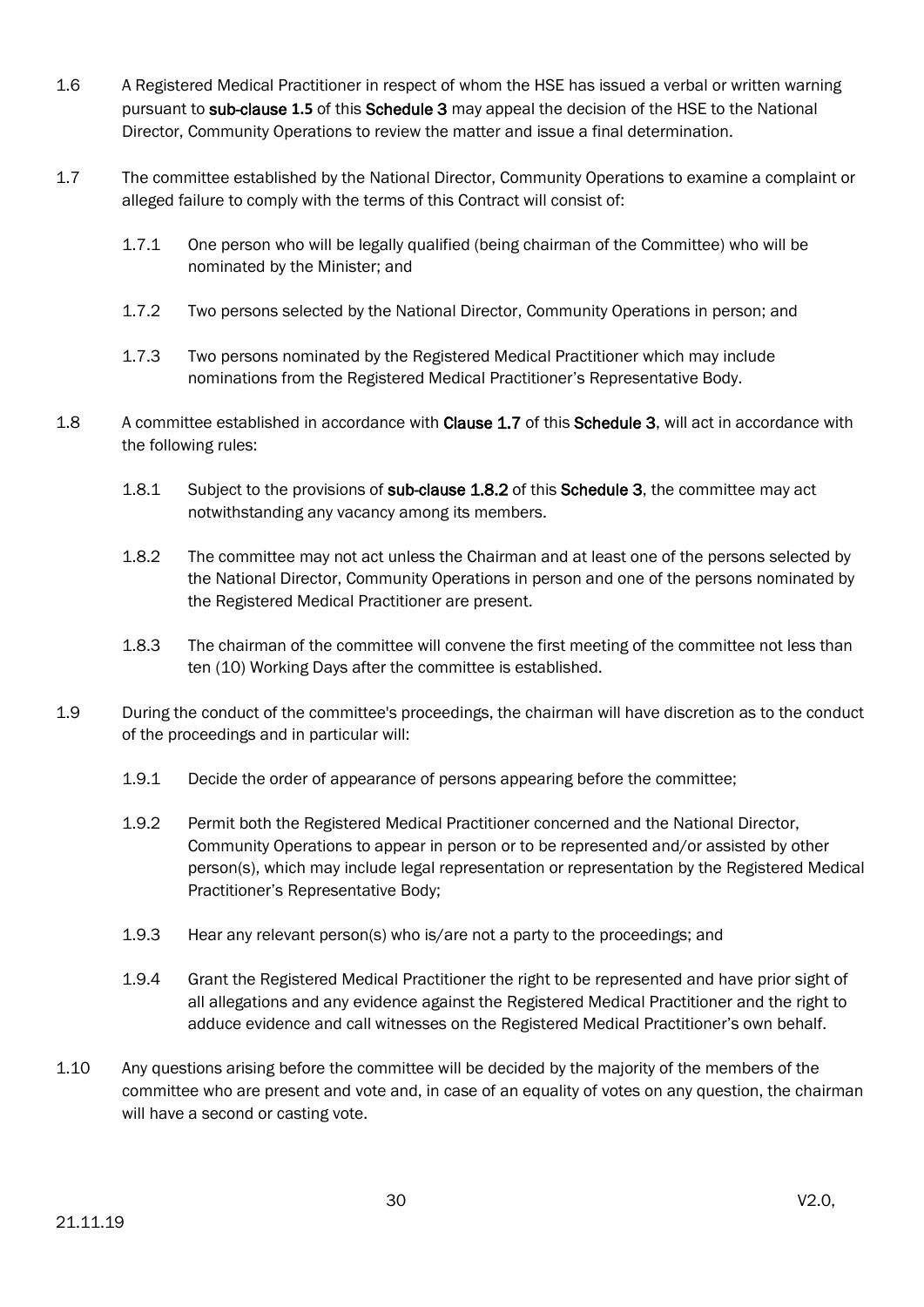- 1.6 A Registered Medical Practitioner in respect of whom the HSE has issued a verbal or written warning pursuant to sub-clause **1.5** of this Schedule 3 may appeal the decision of the HSE to the National Director, Community Operations to review the matter and issue a final determination.
- 1.7 The committee established by the National Director, Community Operations to examine a complaint or alleged failure to comply with the terms of this Contract will consist of:
	- 1.7.1 One person who will be legally qualified (being chairman of the Committee) who will be nominated by the Minister; and
	- 1.7.2 Two persons selected by the National Director, Community Operations in person; and
	- 1.7.3 Two persons nominated by the Registered Medical Practitioner which may include nominations from the Registered Medical Practitioner's Representative Body.
- 1.8 A committee established in accordance with **Clause 1.7** of this **Schedule 3**, will act in accordance with the following rules:
	- 1.8.1 Subject to the provisions of sub-clause 1.8.2 of this Schedule 3, the committee may act notwithstanding any vacancy among its members.
	- 1.8.2 The committee may not act unless the Chairman and at least one of the persons selected by the National Director, Community Operations in person and one of the persons nominated by the Registered Medical Practitioner are present.
	- 1.8.3 The chairman of the committee will convene the first meeting of the committee not less than ten (10) Working Days after the committee is established.
- 1.9 During the conduct of the committee's proceedings, the chairman will have discretion as to the conduct of the proceedings and in particular will:
	- 1.9.1 Decide the order of appearance of persons appearing before the committee;
	- 1.9.2 Permit both the Registered Medical Practitioner concerned and the National Director, Community Operations to appear in person or to be represented and/or assisted by other person(s), which may include legal representation or representation by the Registered Medical Practitioner's Representative Body;
	- 1.9.3 Hear any relevant person(s) who is/are not a party to the proceedings; and
	- 1.9.4 Grant the Registered Medical Practitioner the right to be represented and have prior sight of all allegations and any evidence against the Registered Medical Practitioner and the right to adduce evidence and call witnesses on the Registered Medical Practitioner's own behalf.
- 1.10 Any questions arising before the committee will be decided by the majority of the members of the committee who are present and vote and, in case of an equality of votes on any question, the chairman will have a second or casting vote.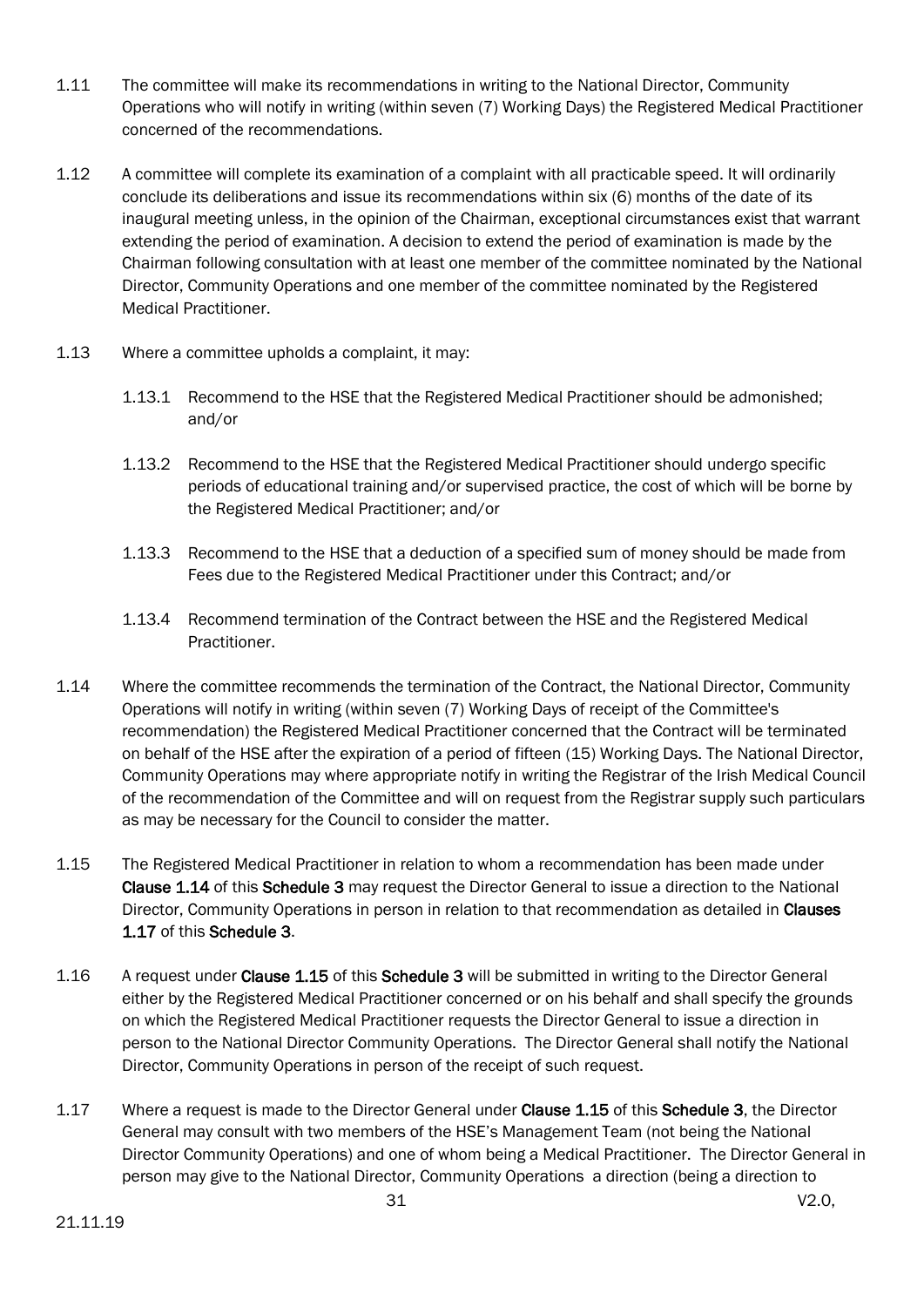- 1.11 The committee will make its recommendations in writing to the National Director, Community Operations who will notify in writing (within seven (7) Working Days) the Registered Medical Practitioner concerned of the recommendations.
- 1.12 A committee will complete its examination of a complaint with all practicable speed. It will ordinarily conclude its deliberations and issue its recommendations within six (6) months of the date of its inaugural meeting unless, in the opinion of the Chairman, exceptional circumstances exist that warrant extending the period of examination. A decision to extend the period of examination is made by the Chairman following consultation with at least one member of the committee nominated by the National Director, Community Operations and one member of the committee nominated by the Registered Medical Practitioner.
- 1.13 Where a committee upholds a complaint, it may:
	- 1.13.1 Recommend to the HSE that the Registered Medical Practitioner should be admonished; and/or
	- 1.13.2 Recommend to the HSE that the Registered Medical Practitioner should undergo specific periods of educational training and/or supervised practice, the cost of which will be borne by the Registered Medical Practitioner; and/or
	- 1.13.3 Recommend to the HSE that a deduction of a specified sum of money should be made from Fees due to the Registered Medical Practitioner under this Contract; and/or
	- 1.13.4 Recommend termination of the Contract between the HSE and the Registered Medical Practitioner.
- 1.14 Where the committee recommends the termination of the Contract, the National Director, Community Operations will notify in writing (within seven (7) Working Days of receipt of the Committee's recommendation) the Registered Medical Practitioner concerned that the Contract will be terminated on behalf of the HSE after the expiration of a period of fifteen (15) Working Days. The National Director, Community Operations may where appropriate notify in writing the Registrar of the Irish Medical Council of the recommendation of the Committee and will on request from the Registrar supply such particulars as may be necessary for the Council to consider the matter.
- 1.15 The Registered Medical Practitioner in relation to whom a recommendation has been made under Clause 1.14 of this Schedule 3 may request the Director General to issue a direction to the National Director, Community Operations in person in relation to that recommendation as detailed in **Clauses** 1.17 of this Schedule 3.
- 1.16 A request under Clause 1.15 of this Schedule 3 will be submitted in writing to the Director General either by the Registered Medical Practitioner concerned or on his behalf and shall specify the grounds on which the Registered Medical Practitioner requests the Director General to issue a direction in person to the National Director Community Operations. The Director General shall notify the National Director, Community Operations in person of the receipt of such request.
- 1.17 Where a request is made to the Director General under Clause 1.15 of this Schedule 3, the Director General may consult with two members of the HSE's Management Team (not being the National Director Community Operations) and one of whom being a Medical Practitioner. The Director General in person may give to the National Director, Community Operations a direction (being a direction to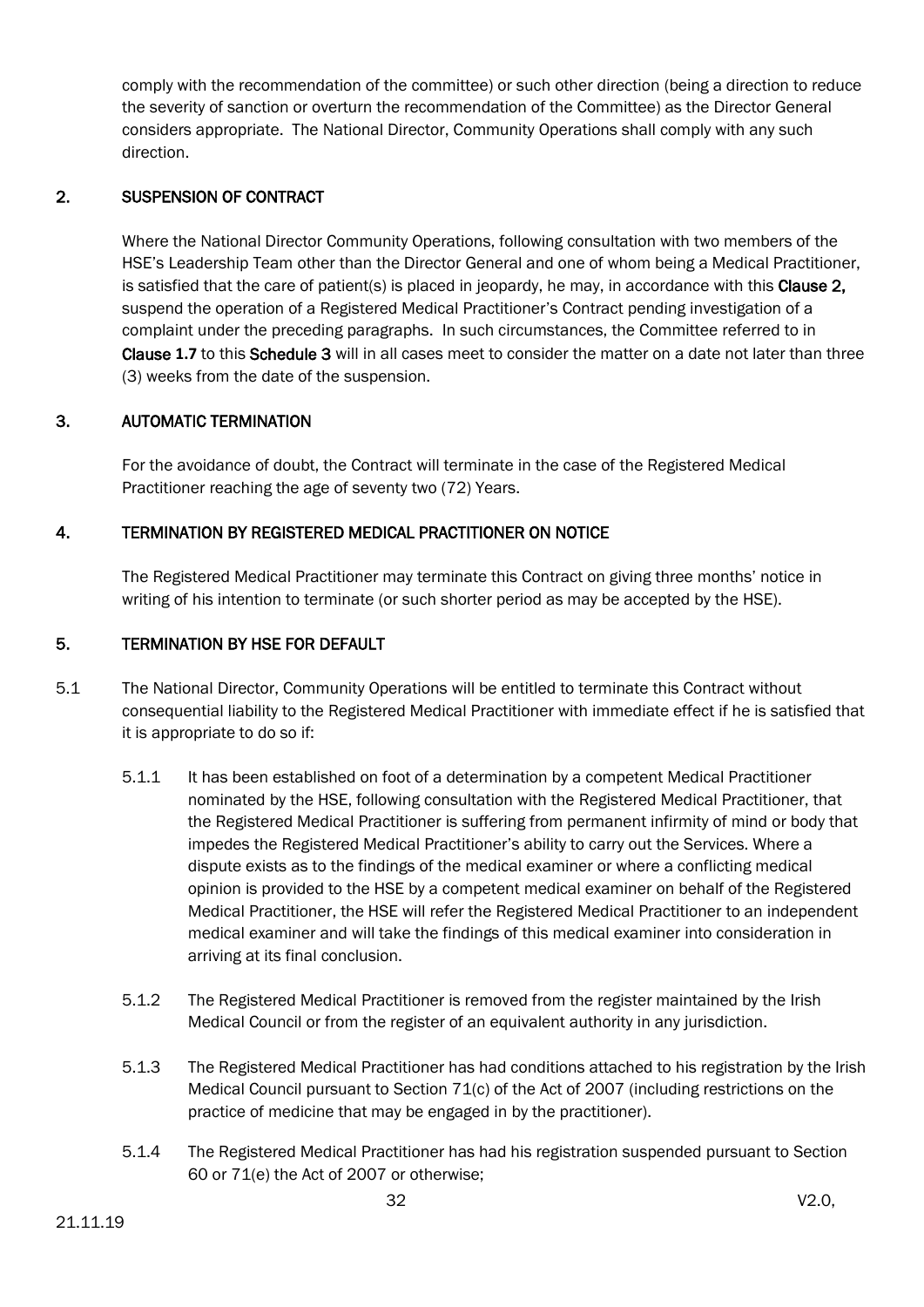comply with the recommendation of the committee) or such other direction (being a direction to reduce the severity of sanction or overturn the recommendation of the Committee) as the Director General considers appropriate. The National Director, Community Operations shall comply with any such direction.

## <span id="page-31-0"></span>2. SUSPENSION OF CONTRACT

Where the National Director Community Operations, following consultation with two members of the HSE's Leadership Team other than the Director General and one of whom being a Medical Practitioner, is satisfied that the care of patient(s) is placed in jeopardy, he may, in accordance with this **Clause 2,** suspend the operation of a Registered Medical Practitioner's Contract pending investigation of a complaint under the preceding paragraphs. In such circumstances, the Committee referred to in Clause **1.7** to this Schedule 3 will in all cases meet to consider the matter on a date not later than three (3) weeks from the date of the suspension.

## <span id="page-31-1"></span>3. AUTOMATIC TERMINATION

For the avoidance of doubt, the Contract will terminate in the case of the Registered Medical Practitioner reaching the age of seventy two (72) Years.

## <span id="page-31-2"></span>4. TERMINATION BY REGISTERED MEDICAL PRACTITIONER ON NOTICE

The Registered Medical Practitioner may terminate this Contract on giving three months' notice in writing of his intention to terminate (or such shorter period as may be accepted by the HSE).

## <span id="page-31-3"></span>5. TERMINATION BY HSE FOR DEFAULT

- 5.1 The National Director, Community Operations will be entitled to terminate this Contract without consequential liability to the Registered Medical Practitioner with immediate effect if he is satisfied that it is appropriate to do so if:
	- 5.1.1 It has been established on foot of a determination by a competent Medical Practitioner nominated by the HSE, following consultation with the Registered Medical Practitioner, that the Registered Medical Practitioner is suffering from permanent infirmity of mind or body that impedes the Registered Medical Practitioner's ability to carry out the Services. Where a dispute exists as to the findings of the medical examiner or where a conflicting medical opinion is provided to the HSE by a competent medical examiner on behalf of the Registered Medical Practitioner, the HSE will refer the Registered Medical Practitioner to an independent medical examiner and will take the findings of this medical examiner into consideration in arriving at its final conclusion.
	- 5.1.2 The Registered Medical Practitioner is removed from the register maintained by the Irish Medical Council or from the register of an equivalent authority in any jurisdiction.
	- 5.1.3 The Registered Medical Practitioner has had conditions attached to his registration by the Irish Medical Council pursuant to Section 71(c) of the Act of 2007 (including restrictions on the practice of medicine that may be engaged in by the practitioner).
	- 5.1.4 The Registered Medical Practitioner has had his registration suspended pursuant to Section 60 or 71(e) the Act of 2007 or otherwise;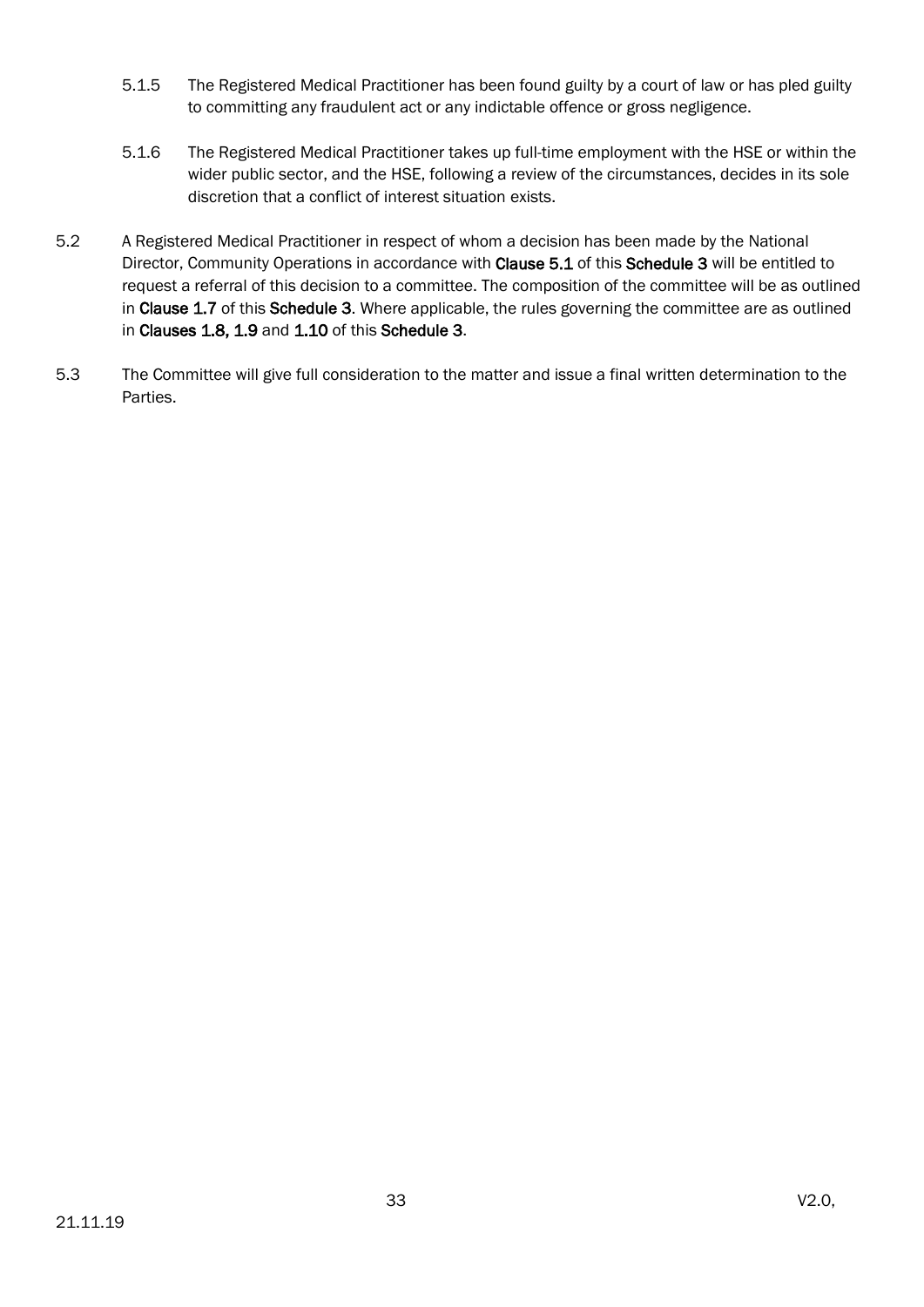- 5.1.5 The Registered Medical Practitioner has been found guilty by a court of law or has pled guilty to committing any fraudulent act or any indictable offence or gross negligence.
- 5.1.6 The Registered Medical Practitioner takes up full-time employment with the HSE or within the wider public sector, and the HSE, following a review of the circumstances, decides in its sole discretion that a conflict of interest situation exists.
- 5.2 A Registered Medical Practitioner in respect of whom a decision has been made by the National Director, Community Operations in accordance with Clause 5.1 of this Schedule 3 will be entitled to request a referral of this decision to a committee. The composition of the committee will be as outlined in Clause 1.7 of this Schedule 3. Where applicable, the rules governing the committee are as outlined in Clauses 1.8, 1.9 and 1.10 of this Schedule 3.
- 5.3 The Committee will give full consideration to the matter and issue a final written determination to the Parties.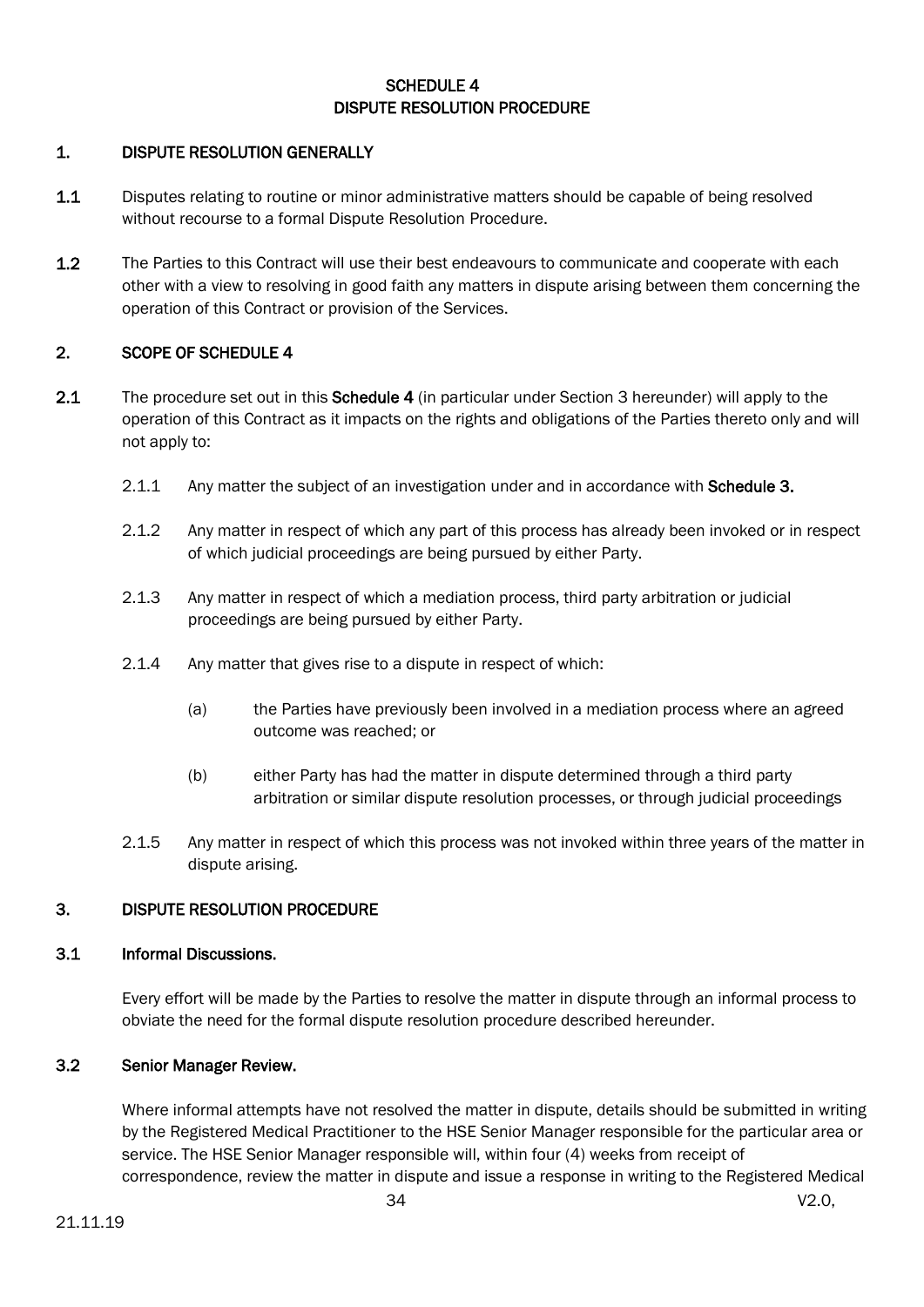## SCHEDULE 4 DISPUTE RESOLUTION PROCEDURE

## <span id="page-33-1"></span><span id="page-33-0"></span>1. DISPUTE RESOLUTION GENERALLY

- 1.1 Disputes relating to routine or minor administrative matters should be capable of being resolved without recourse to a formal Dispute Resolution Procedure.
- 1.2 The Parties to this Contract will use their best endeavours to communicate and cooperate with each other with a view to resolving in good faith any matters in dispute arising between them concerning the operation of this Contract or provision of the Services.

## <span id="page-33-2"></span>2. SCOPE OF SCHEDULE 4

- 2.1 The procedure set out in this Schedule 4 (in particular under Section 3 hereunder) will apply to the operation of this Contract as it impacts on the rights and obligations of the Parties thereto only and will not apply to:
	- 2.1.1 Any matter the subject of an investigation under and in accordance with Schedule 3.
	- 2.1.2 Any matter in respect of which any part of this process has already been invoked or in respect of which judicial proceedings are being pursued by either Party.
	- 2.1.3 Any matter in respect of which a mediation process, third party arbitration or judicial proceedings are being pursued by either Party.
	- 2.1.4 Any matter that gives rise to a dispute in respect of which:
		- (a) the Parties have previously been involved in a mediation process where an agreed outcome was reached; or
		- (b) either Party has had the matter in dispute determined through a third party arbitration or similar dispute resolution processes, or through judicial proceedings
	- 2.1.5 Any matter in respect of which this process was not invoked within three years of the matter in dispute arising.

#### <span id="page-33-3"></span>3. DISPUTE RESOLUTION PROCEDURE

#### 3.1 Informal Discussions.

Every effort will be made by the Parties to resolve the matter in dispute through an informal process to obviate the need for the formal dispute resolution procedure described hereunder.

#### 3.2 Senior Manager Review.

Where informal attempts have not resolved the matter in dispute, details should be submitted in writing by the Registered Medical Practitioner to the HSE Senior Manager responsible for the particular area or service. The HSE Senior Manager responsible will, within four (4) weeks from receipt of correspondence, review the matter in dispute and issue a response in writing to the Registered Medical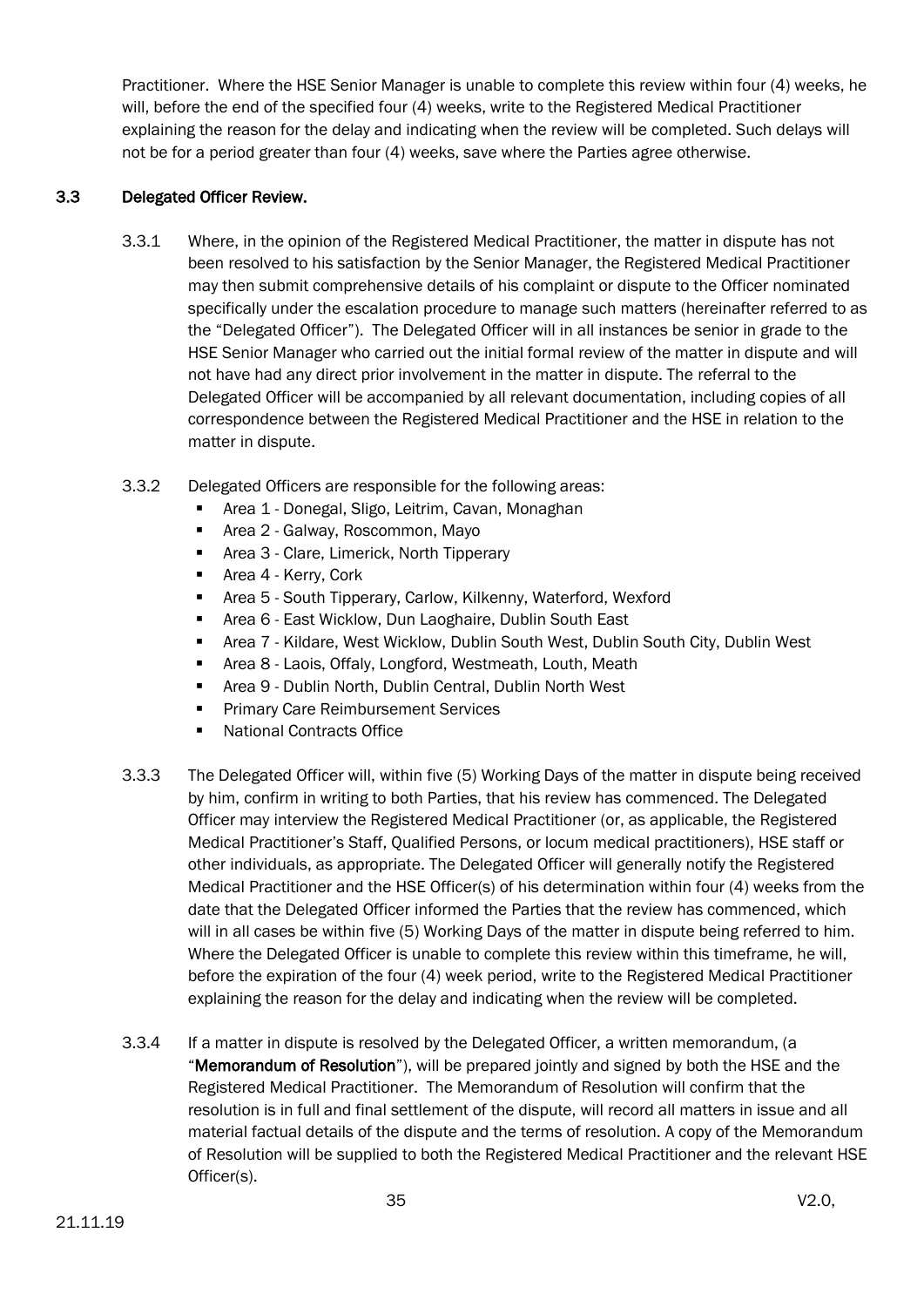Practitioner. Where the HSE Senior Manager is unable to complete this review within four (4) weeks, he will, before the end of the specified four (4) weeks, write to the Registered Medical Practitioner explaining the reason for the delay and indicating when the review will be completed. Such delays will not be for a period greater than four (4) weeks, save where the Parties agree otherwise.

## 3.3 Delegated Officer Review.

- 3.3.1 Where, in the opinion of the Registered Medical Practitioner, the matter in dispute has not been resolved to his satisfaction by the Senior Manager, the Registered Medical Practitioner may then submit comprehensive details of his complaint or dispute to the Officer nominated specifically under the escalation procedure to manage such matters (hereinafter referred to as the "Delegated Officer"). The Delegated Officer will in all instances be senior in grade to the HSE Senior Manager who carried out the initial formal review of the matter in dispute and will not have had any direct prior involvement in the matter in dispute. The referral to the Delegated Officer will be accompanied by all relevant documentation, including copies of all correspondence between the Registered Medical Practitioner and the HSE in relation to the matter in dispute.
- 3.3.2 Delegated Officers are responsible for the following areas:
	- Area 1 Donegal, Sligo, Leitrim, Cavan, Monaghan
	- **Area 2 Galway, Roscommon, Mayo**
	- **Area 3 Clare, Limerick, North Tipperary**
	- **Area 4 Kerry, Cork**
	- Area 5 South Tipperary, Carlow, Kilkenny, Waterford, Wexford
	- Area 6 East Wicklow, Dun Laoghaire, Dublin South East
	- Area 7 Kildare, West Wicklow, Dublin South West, Dublin South City, Dublin West
	- Area 8 Laois, Offaly, Longford, Westmeath, Louth, Meath
	- Area 9 Dublin North, Dublin Central, Dublin North West
	- **Primary Care Reimbursement Services**
	- National Contracts Office
- 3.3.3 The Delegated Officer will, within five (5) Working Days of the matter in dispute being received by him, confirm in writing to both Parties, that his review has commenced. The Delegated Officer may interview the Registered Medical Practitioner (or, as applicable, the Registered Medical Practitioner's Staff, Qualified Persons, or locum medical practitioners), HSE staff or other individuals, as appropriate. The Delegated Officer will generally notify the Registered Medical Practitioner and the HSE Officer(s) of his determination within four (4) weeks from the date that the Delegated Officer informed the Parties that the review has commenced, which will in all cases be within five (5) Working Days of the matter in dispute being referred to him. Where the Delegated Officer is unable to complete this review within this timeframe, he will, before the expiration of the four (4) week period, write to the Registered Medical Practitioner explaining the reason for the delay and indicating when the review will be completed.
- 3.3.4 If a matter in dispute is resolved by the Delegated Officer, a written memorandum, (a "Memorandum of Resolution"), will be prepared jointly and signed by both the HSE and the Registered Medical Practitioner. The Memorandum of Resolution will confirm that the resolution is in full and final settlement of the dispute, will record all matters in issue and all material factual details of the dispute and the terms of resolution. A copy of the Memorandum of Resolution will be supplied to both the Registered Medical Practitioner and the relevant HSE Officer(s).